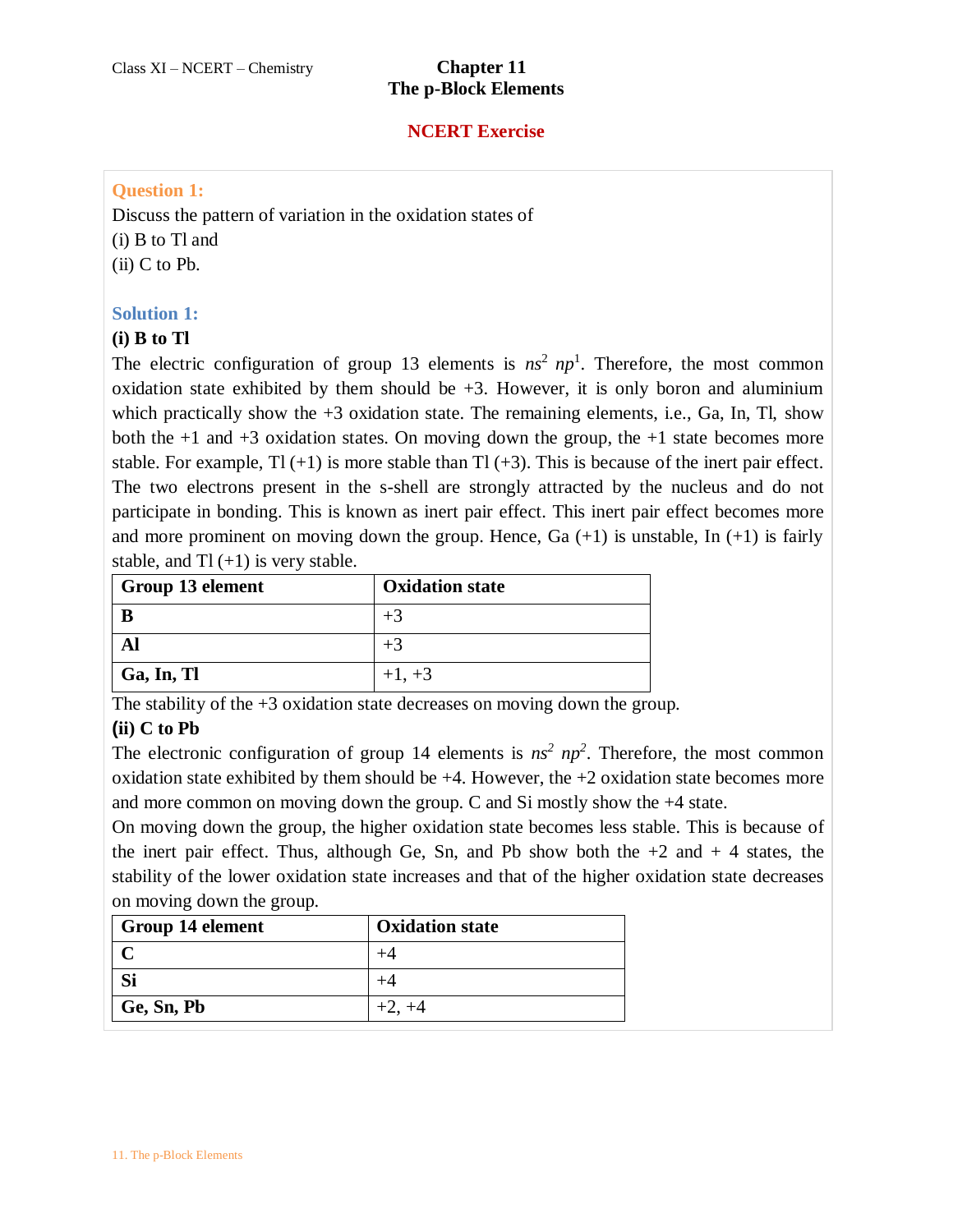### **NCERT Exercise**

### **Question 1:**

Discuss the pattern of variation in the oxidation states of (i) B to Tl and (ii) C to Pb.

### **Solution 1:**

### **(i) B to Tl**

The electric configuration of group 13 elements is  $ns^2 np^1$ . Therefore, the most common oxidation state exhibited by them should be  $+3$ . However, it is only boron and aluminium which practically show the  $+3$  oxidation state. The remaining elements, i.e., Ga, In, Tl, show both the  $+1$  and  $+3$  oxidation states. On moving down the group, the  $+1$  state becomes more stable. For example,  $T1 (+1)$  is more stable than  $T1 (+3)$ . This is because of the inert pair effect. The two electrons present in the s-shell are strongly attracted by the nucleus and do not participate in bonding. This is known as inert pair effect. This inert pair effect becomes more and more prominent on moving down the group. Hence, Ga  $(+1)$  is unstable, In  $(+1)$  is fairly stable, and  $T1 (+1)$  is very stable.

| Group 13 element | <b>Oxidation state</b> |
|------------------|------------------------|
|                  | $+3$                   |
|                  | $+3$                   |
| Ga, In, Tl       | $+1, +3$               |

The stability of the +3 oxidation state decreases on moving down the group.

# **(ii) C to Pb**

The electronic configuration of group 14 elements is  $ns^2 np^2$ . Therefore, the most common oxidation state exhibited by them should be  $+4$ . However, the  $+2$  oxidation state becomes more and more common on moving down the group. C and Si mostly show the +4 state.

On moving down the group, the higher oxidation state becomes less stable. This is because of the inert pair effect. Thus, although Ge, Sn, and Pb show both the  $+2$  and  $+4$  states, the stability of the lower oxidation state increases and that of the higher oxidation state decreases on moving down the group.

| <b>Group 14 element</b> | <b>Oxidation state</b> |
|-------------------------|------------------------|
|                         |                        |
| Si                      |                        |
| Ge, Sn, Pb              | $+2, +4$               |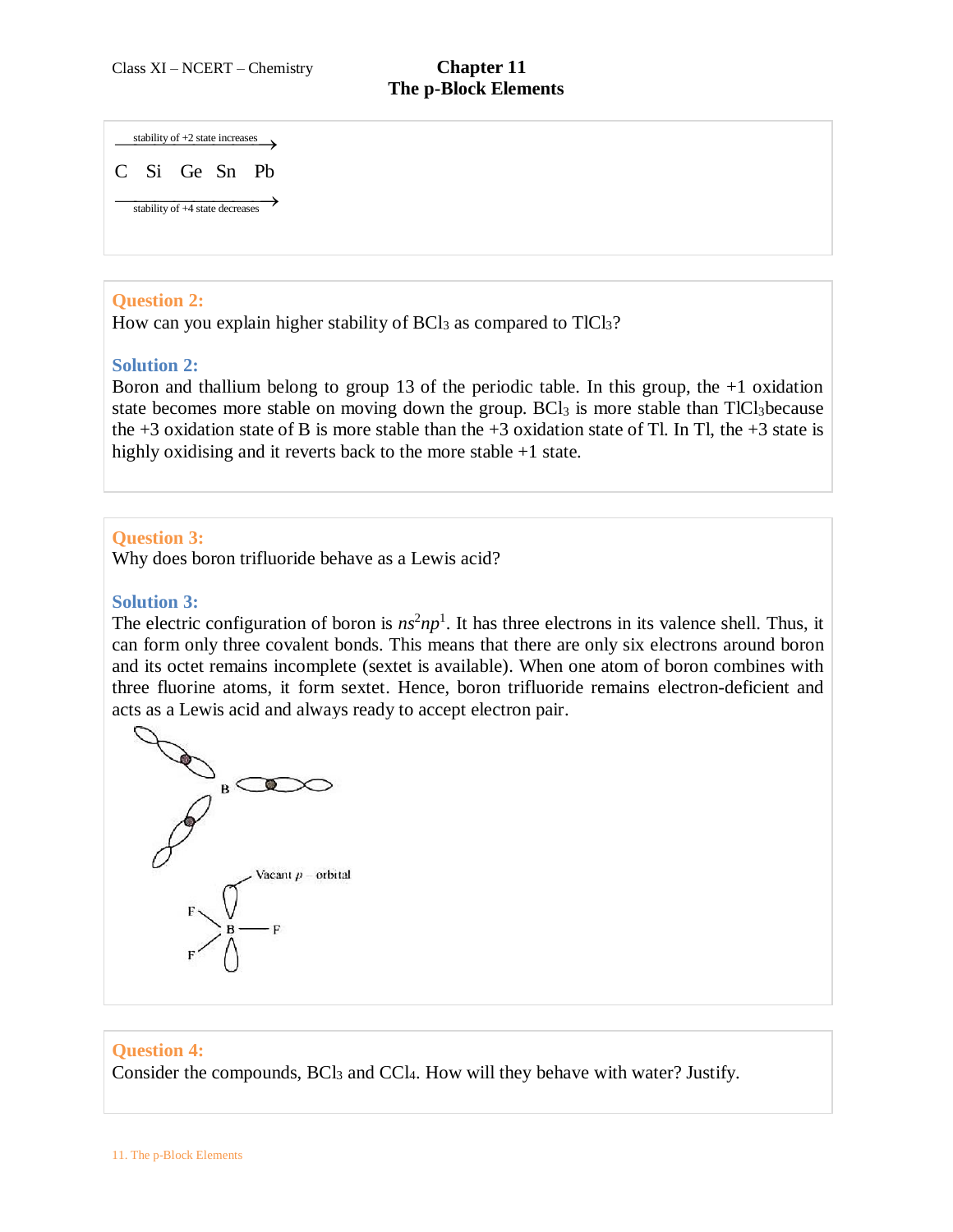stability of  $+2$  state increases

stability of  $+4$  state decreases C Si Ge Sn Pb

### **Question 2:**

How can you explain higher stability of  $BCl<sub>3</sub>$  as compared to  $TlCl<sub>3</sub>$ ?

### **Solution 2:**

Boron and thallium belong to group 13 of the periodic table. In this group, the +1 oxidation state becomes more stable on moving down the group. BCl<sub>3</sub> is more stable than TlCl<sub>3</sub>because the +3 oxidation state of B is more stable than the +3 oxidation state of Tl. In Tl, the +3 state is highly oxidising and it reverts back to the more stable +1 state.

### **Question 3:**

Why does boron trifluoride behave as a Lewis acid?

#### **Solution 3:**

The electric configuration of boron is  $n s<sup>2</sup> n p<sup>1</sup>$ . It has three electrons in its valence shell. Thus, it can form only three covalent bonds. This means that there are only six electrons around boron and its octet remains incomplete (sextet is available). When one atom of boron combines with three fluorine atoms, it form sextet. Hence, boron trifluoride remains electron-deficient and acts as a Lewis acid and always ready to accept electron pair.



#### **Question 4:**

Consider the compounds, BCl<sub>3</sub> and CCl<sub>4</sub>. How will they behave with water? Justify.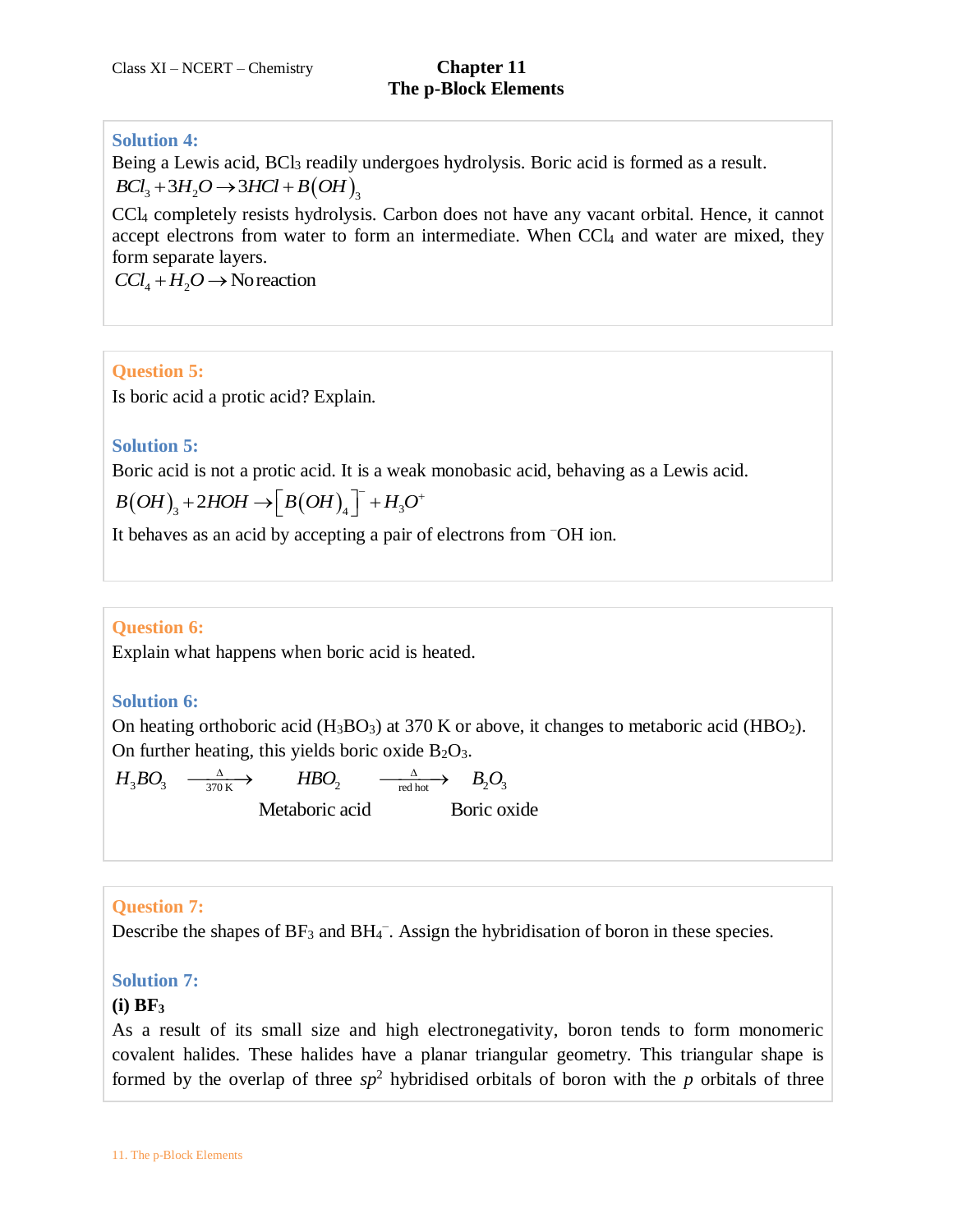## **Solution 4:**

Being a Lewis acid, BCl<sub>3</sub> readily undergoes hydrolysis. Boric acid is formed as a result.<br> $BCl_3 + 3H_2O \rightarrow 3HCl + B(OH)_3$  $BCl<sub>3</sub>+3H<sub>2</sub>O \rightarrow 3HCl + B(OH)$ <sub>r</sub>

CCl<sup>4</sup> completely resists hydrolysis. Carbon does not have any vacant orbital. Hence, it cannot accept electrons from water to form an intermediate. When CCl<sub>4</sub> and water are mixed, they form separate layers.

 $CCl_4 + H_2O \rightarrow \text{Nor}$ eaction

### **Question 5:**

Is boric acid a protic acid? Explain.

### **Solution 5:**

Boric acid is not a protic acid. It is a weak monobasic acid, behaving as a Lewis acid.

Boric acid is not a protein acid. It is a weak  

$$
B(OH)_3 + 2HOH \rightarrow \left[ B(OH)_4 \right]^{-} + H_3O^{+}
$$

It behaves as an acid by accepting a pair of electrons from –OH ion.

# **Question 6:**

Explain what happens when boric acid is heated.

### **Solution 6:**

On heating orthoboric acid  $(H_3BO_3)$  at 370 K or above, it changes to metaboric acid  $(HBO_2)$ . On further heating, this yields boric oxide  $B_2O_3$ . On further heating, this yields boric oxide B<sub>2</sub>O<sub>3</sub>.<br>  $H_3BO_3 \xrightarrow[370]{}^{\Delta} H_3BO_2 \xrightarrow[370]{}^{\Delta} H_3BO_3$ .

$$
H_3BO_3 \xrightarrow[370 \text{ K}]{\Delta} HBO_2 \xrightarrow[red hot]{\Delta} B_2O_3
$$
  
Metaboric acid  
Boric oxide

### **Question 7:**

Describe the shapes of  $BF_3$  and  $BH_4^-$ . Assign the hybridisation of boron in these species.

### **Solution 7:**

### **(i) BF<sup>3</sup>**

As a result of its small size and high electronegativity, boron tends to form monomeric covalent halides. These halides have a planar triangular geometry. This triangular shape is formed by the overlap of three  $sp^2$  hybridised orbitals of boron with the *p* orbitals of three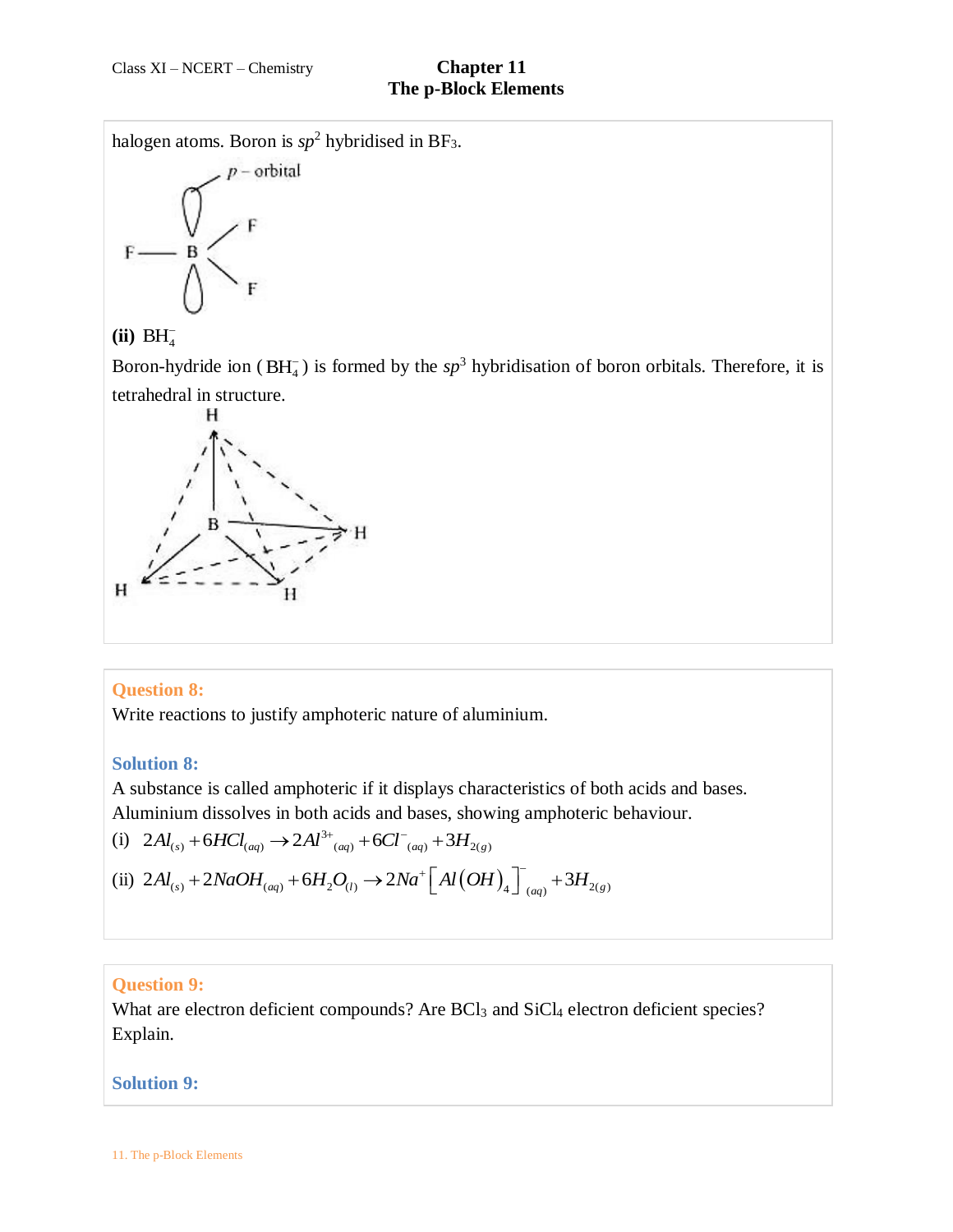halogen atoms. Boron is  $sp^2$  hybridised in BF<sub>3</sub>.



# $(iii) BH<sub>4</sub>$

Boron-hydride ion ( $BH_4^-$ ) is formed by the  $sp^3$  hybridisation of boron orbitals. Therefore, it is tetrahedral in structure.



# **Question 8:**

Write reactions to justify amphoteric nature of aluminium.

### **Solution 8:**

A substance is called amphoteric if it displays characteristics of both acids and bases.

Aluminium dissolves in both acids and bases, showing amphoteric behaviour.

\n(i) 
$$
2Al_{(s)} + 6HCl_{(aq)} \rightarrow 2Al^{3+} \left( \frac{aq}{(aq)} + 6Cl^{-} \left( \frac{aq}{(aq)} + 3H_{2(g)} \right) \right)
$$

\n(ii)  $2Al_{(s)} + 2NaOH_{(aq)} + 6H_2O_{(l)} \rightarrow 2Na^+ \left[ Al(OH)_{4} \right]^{-} \left( \frac{aq}{(aq)} + 3H_{2(g)} \right)$ 

# **Question 9:**

What are electron deficient compounds? Are BCl<sub>3</sub> and SiCl<sub>4</sub> electron deficient species? Explain.

### **Solution 9:**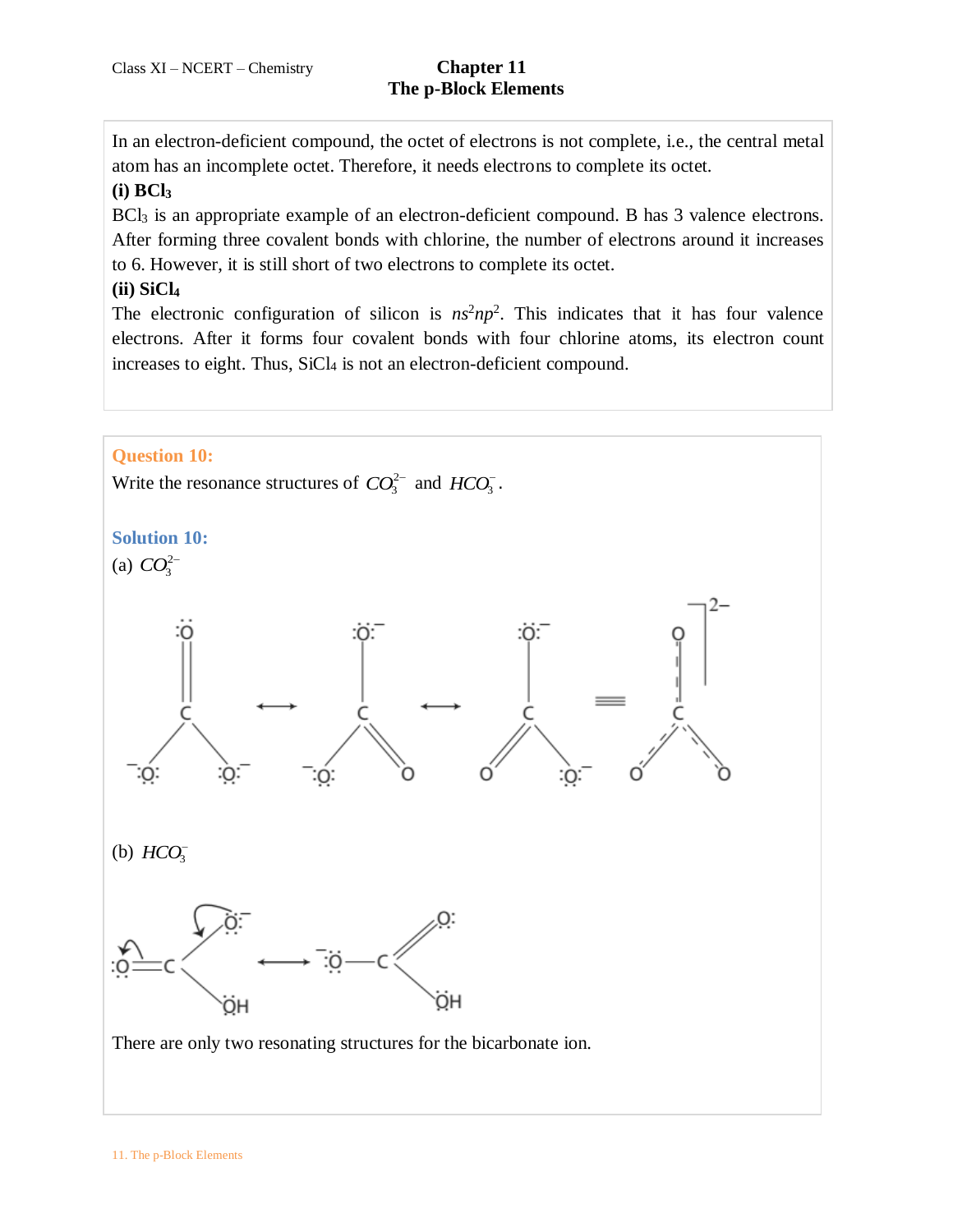In an electron-deficient compound, the octet of electrons is not complete, i.e., the central metal atom has an incomplete octet. Therefore, it needs electrons to complete its octet.

# **(i) BCl<sup>3</sup>**

BCl<sub>3</sub> is an appropriate example of an electron-deficient compound. B has 3 valence electrons. After forming three covalent bonds with chlorine, the number of electrons around it increases to 6. However, it is still short of two electrons to complete its octet.

# **(ii) SiCl<sup>4</sup>**

The electronic configuration of silicon is  $ns^2np^2$ . This indicates that it has four valence electrons. After it forms four covalent bonds with four chlorine atoms, its electron count increases to eight. Thus, SiCl<sub>4</sub> is not an electron-deficient compound.

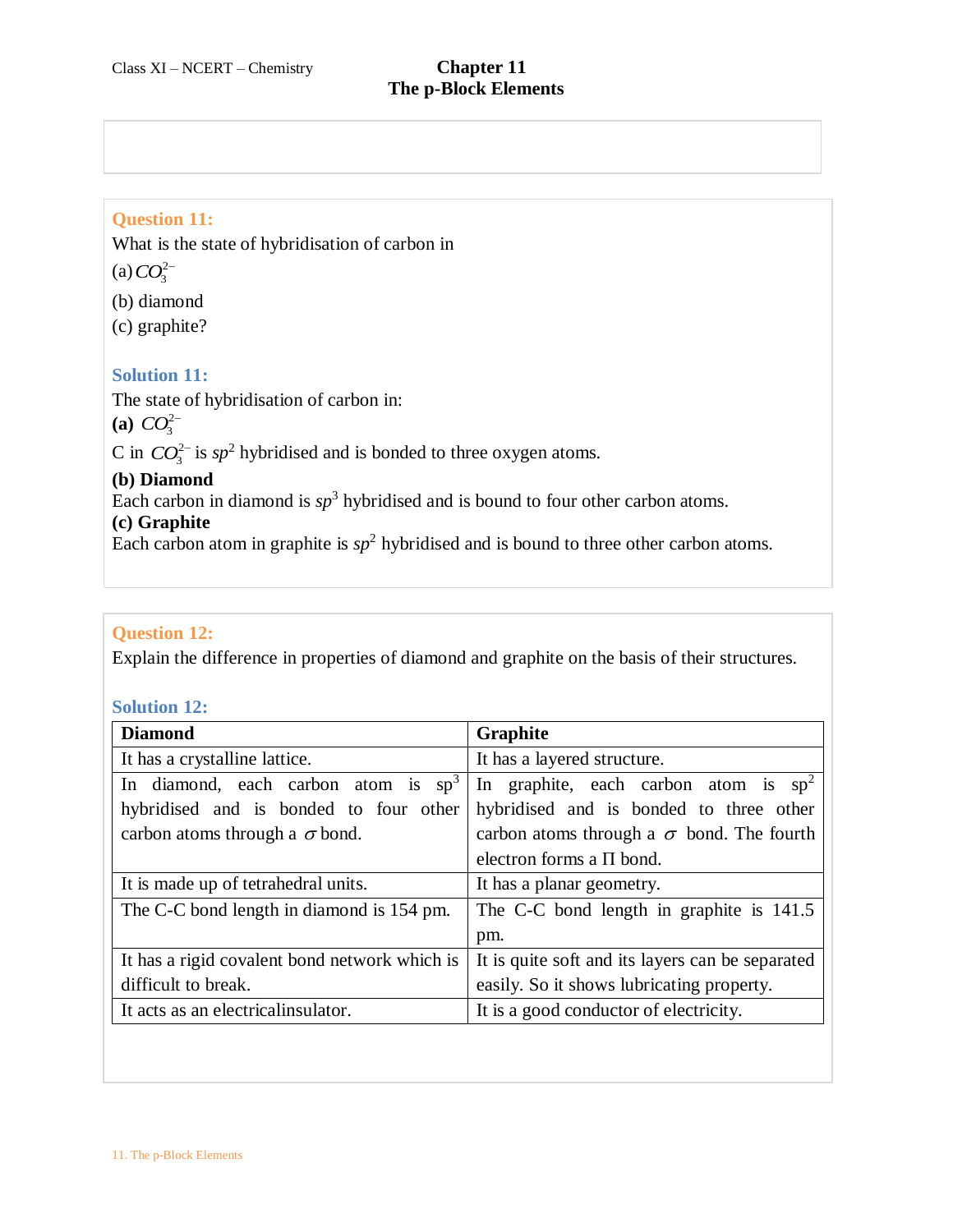## **Question 11:**

What is the state of hybridisation of carbon in

 $(a) CO_3^{2-}$ 

(b) diamond

(c) graphite?

### **Solution 11:**

The state of hybridisation of carbon in:

**(a)**  $CO_3^{2-}$ 

C in  $CO_3^{2-}$  is  $sp^2$  hybridised and is bonded to three oxygen atoms.

### **(b) Diamond**

Each carbon in diamond is  $sp<sup>3</sup>$  hybridised and is bound to four other carbon atoms.

### **(c) Graphite**

Each carbon atom in graphite is  $sp<sup>2</sup>$  hybridised and is bound to three other carbon atoms.

# **Question 12:**

Explain the difference in properties of diamond and graphite on the basis of their structures.

### **Solution 12:**

| <b>Diamond</b>                                | Graphite                                         |
|-----------------------------------------------|--------------------------------------------------|
| It has a crystalline lattice.                 | It has a layered structure.                      |
| In diamond, each carbon atom is $sp^3$        | In graphite, each carbon atom is $sp^2$          |
| hybridised and is bonded to four other        | hybridised and is bonded to three other          |
| carbon atoms through a $\sigma$ bond.         | carbon atoms through a $\sigma$ bond. The fourth |
|                                               | electron forms a $\Pi$ bond.                     |
| It is made up of tetrahedral units.           | It has a planar geometry.                        |
| The C-C bond length in diamond is 154 pm.     | The C-C bond length in graphite is 141.5         |
|                                               | pm.                                              |
| It has a rigid covalent bond network which is | It is quite soft and its layers can be separated |
| difficult to break.                           | easily. So it shows lubricating property.        |
| It acts as an electrical insulator.           | It is a good conductor of electricity.           |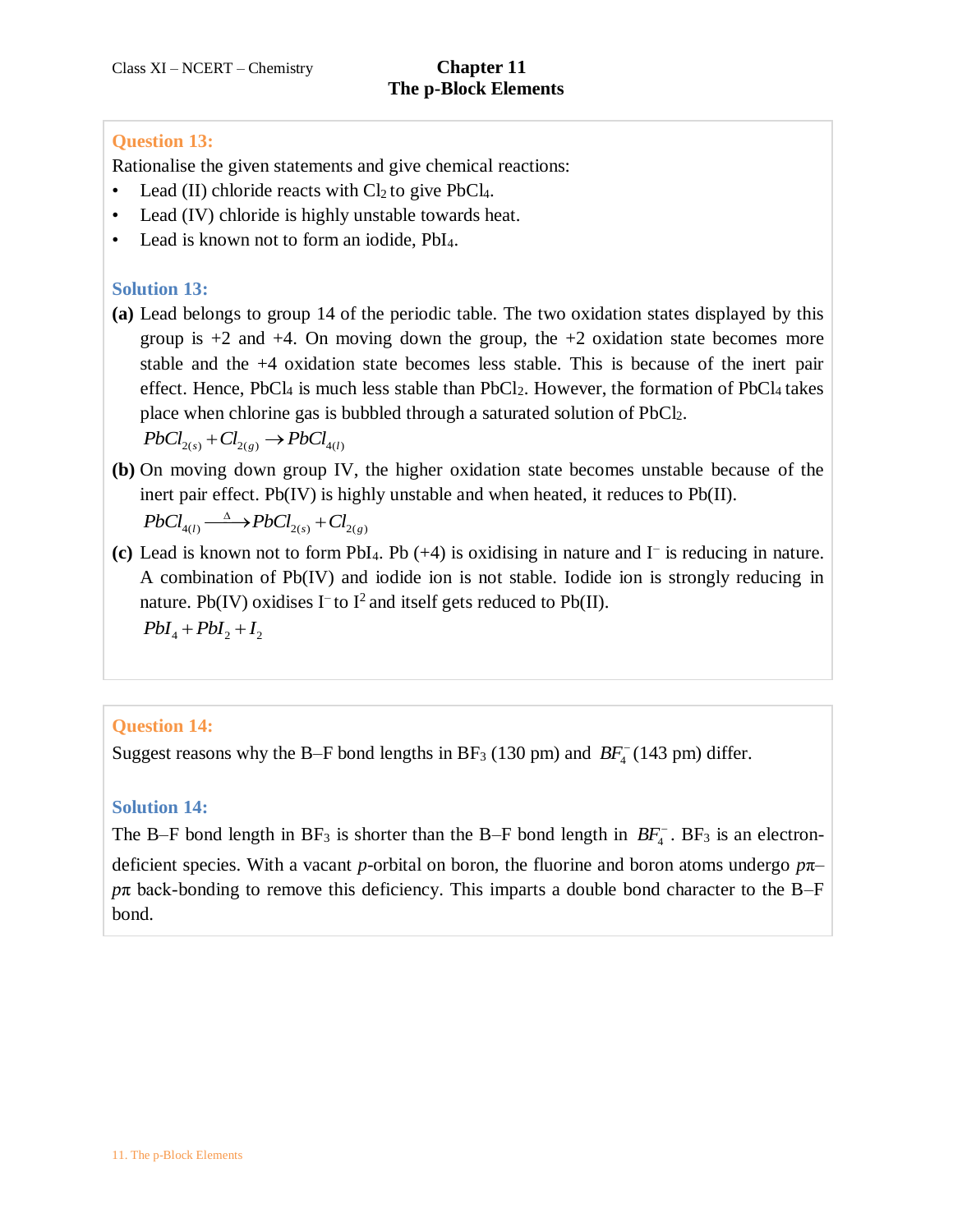# **Question 13:**

Rationalise the given statements and give chemical reactions:

- Lead (II) chloride reacts with  $Cl<sub>2</sub>$  to give PbCl<sub>4</sub>.
- Lead (IV) chloride is highly unstable towards heat.
- Lead is known not to form an iodide, PbI<sub>4</sub>.

# **Solution 13:**

**(a)** Lead belongs to group 14 of the periodic table. The two oxidation states displayed by this group is  $+2$  and  $+4$ . On moving down the group, the  $+2$  oxidation state becomes more stable and the +4 oxidation state becomes less stable. This is because of the inert pair effect. Hence, PbCl<sub>4</sub> is much less stable than PbCl<sub>2</sub>. However, the formation of PbCl<sub>4</sub> takes place when chlorine gas is bubbled through a saturated solution of PbCl<sub>2</sub>.

 $PbCl_{2(s)} + Cl_{2(e)} \rightarrow PbCl_{4(l)}$ 

**(b)** On moving down group IV, the higher oxidation state becomes unstable because of the inert pair effect. Pb(IV) is highly unstable and when heated, it reduces to Pb(II).<br>  $PbCl_{4(l)} \xrightarrow{\Delta} PbCl_{2(s)} + Cl_{2(g)}$ 

$$
PbCl_{4(l)} \stackrel{\Delta}{\longrightarrow} PbCl_{2(s)} + Cl_{2(g)}
$$

**(c)** Lead is known not to form PbI4. Pb (+4) is oxidising in nature and I– is reducing in nature. A combination of Pb(IV) and iodide ion is not stable. Iodide ion is strongly reducing in nature. Pb(IV) oxidises  $I^-$  to  $I^2$  and itself gets reduced to Pb(II).  $PbI_4 + PbI_2 + I_2$ 

# **Question 14:**

Suggest reasons why the B-F bond lengths in BF<sub>3</sub> (130 pm) and  $BF_4^-$  (143 pm) differ.

# **Solution 14:**

The B–F bond length in  $BF_3$  is shorter than the B–F bond length in  $BF_4$ . BF<sub>3</sub> is an electrondeficient species. With a vacant *p*-orbital on boron, the fluorine and boron atoms undergo *p*π– *p*π back-bonding to remove this deficiency. This imparts a double bond character to the B–F bond.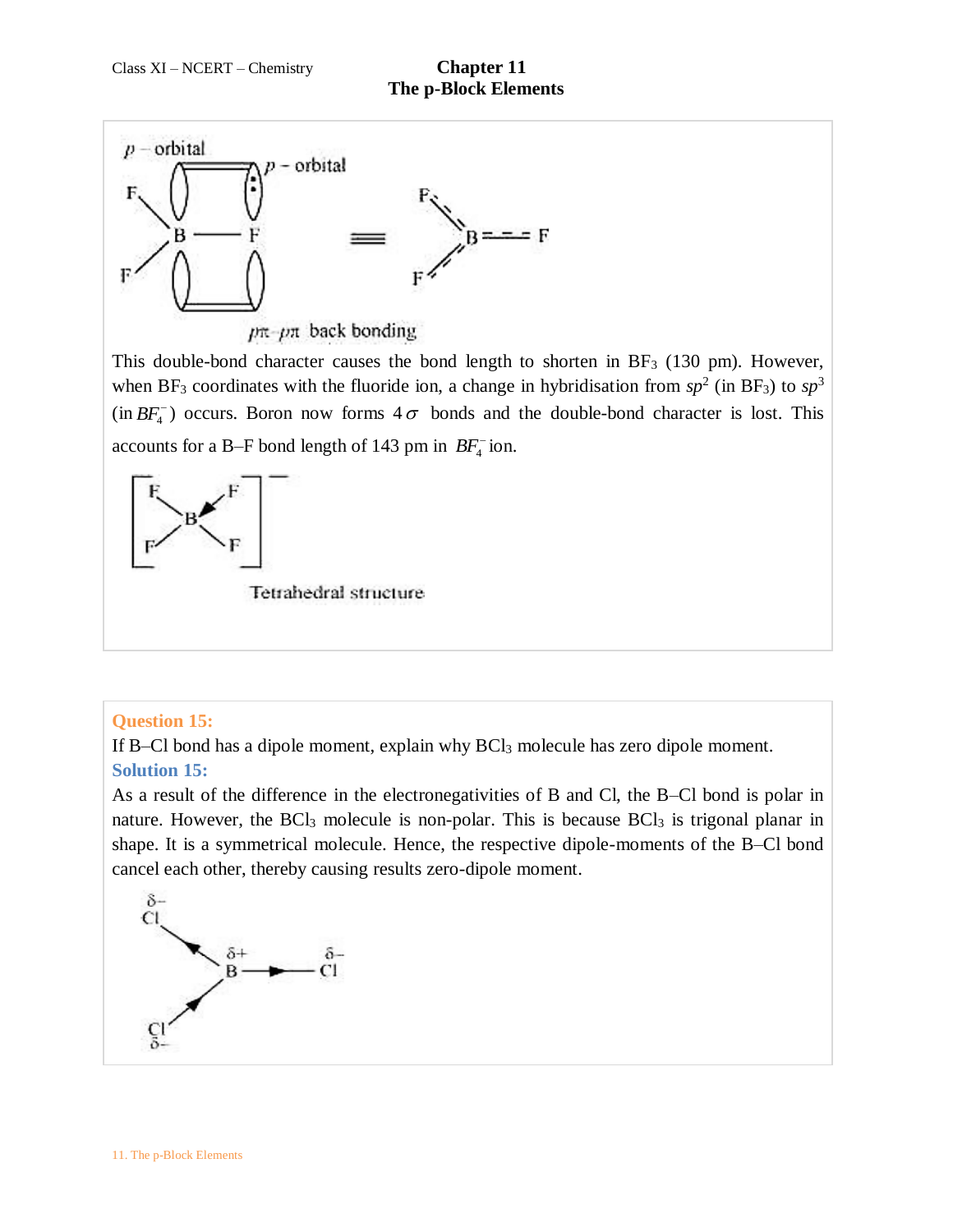

This double-bond character causes the bond length to shorten in BF<sup>3</sup> (130 pm). However, when BF<sub>3</sub> coordinates with the fluoride ion, a change in hybridisation from  $sp^2$  (in BF<sub>3</sub>) to  $sp^3$  $(in BF<sub>4</sub><sup>-</sup>)$  occurs. Boron now forms  $4\sigma$  bonds and the double-bond character is lost. This accounts for a B-F bond length of 143 pm in  $BF_4^-$  ion.



# **Question 15:**

If B–Cl bond has a dipole moment, explain why BCl<sup>3</sup> molecule has zero dipole moment. **Solution 15:**

As a result of the difference in the electronegativities of B and Cl, the B–Cl bond is polar in nature. However, the  $BCl<sub>3</sub>$  molecule is non-polar. This is because  $BCl<sub>3</sub>$  is trigonal planar in shape. It is a symmetrical molecule. Hence, the respective dipole-moments of the B–Cl bond cancel each other, thereby causing results zero-dipole moment.

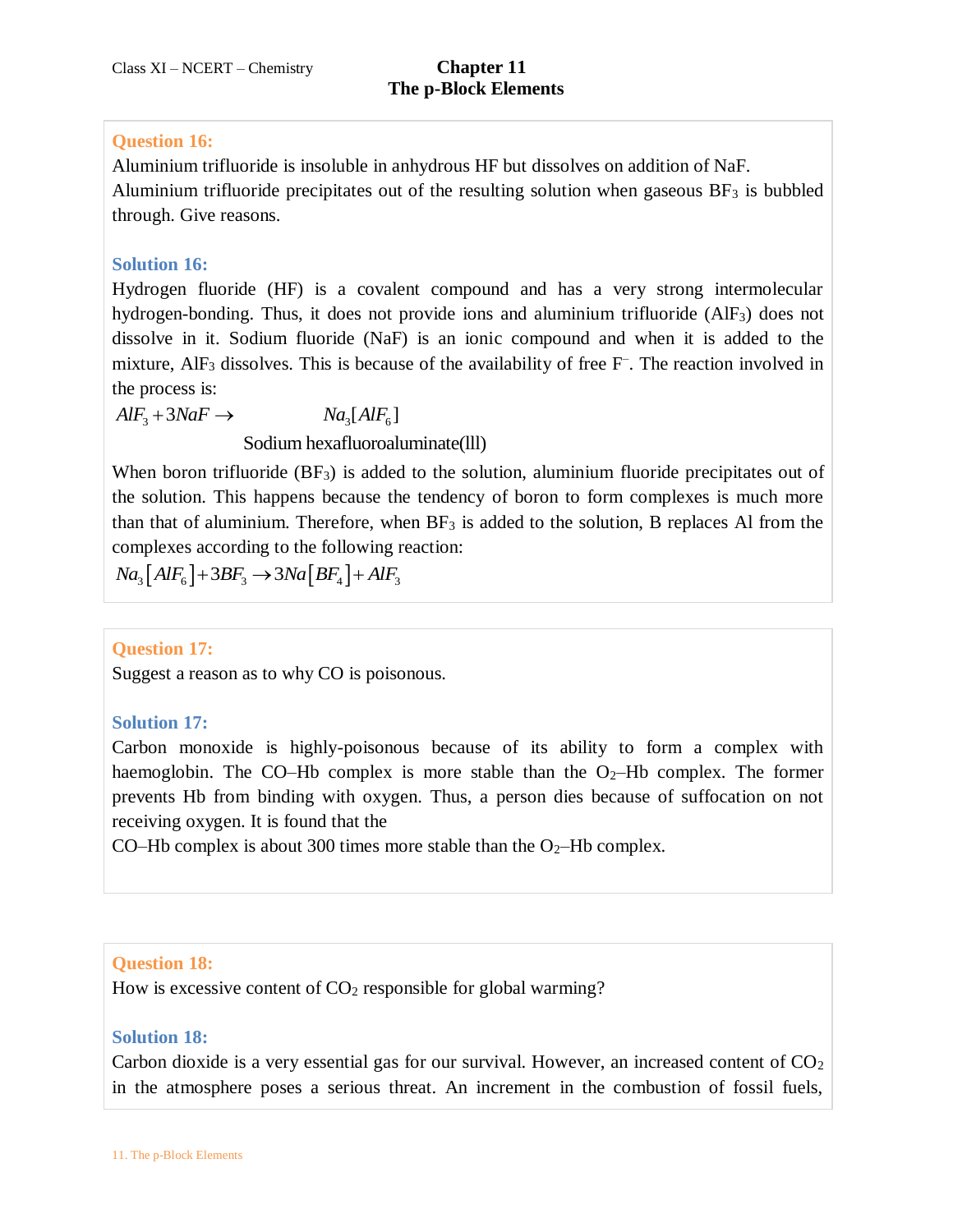# **Question 16:**

Aluminium trifluoride is insoluble in anhydrous HF but dissolves on addition of NaF. Aluminium trifluoride precipitates out of the resulting solution when gaseous  $BF_3$  is bubbled through. Give reasons.

# **Solution 16:**

Hydrogen fluoride (HF) is a covalent compound and has a very strong intermolecular hydrogen-bonding. Thus, it does not provide ions and aluminium trifluoride (AlF3) does not dissolve in it. Sodium fluoride (NaF) is an ionic compound and when it is added to the mixture, AlF<sub>3</sub> dissolves. This is because of the availability of free F<sup>-</sup>. The reaction involved in the process is: process is:<br>  $S_3 + 3NaF \rightarrow Na_3[AlF_6]$ 

 $AlF_3 + 3NaF \rightarrow Na_3[AlF_6]$ 

### Sodium hexafluoroaluminate(lll)

When boron trifluoride  $(BF_3)$  is added to the solution, aluminium fluoride precipitates out of the solution. This happens because the tendency of boron to form complexes is much more than that of aluminium. Therefore, when  $BF_3$  is added to the solution, B replaces Al from the complexes according to the following reaction:

 $Na_3[AlF_6] + 3BF_3 \rightarrow 3Na[BF_4] + AlF_3$ 

# **Question 17:**

Suggest a reason as to why CO is poisonous.

# **Solution 17:**

Carbon monoxide is highly-poisonous because of its ability to form a complex with haemoglobin. The CO–Hb complex is more stable than the  $O_2$ –Hb complex. The former prevents Hb from binding with oxygen. Thus, a person dies because of suffocation on not receiving oxygen. It is found that the

CO–Hb complex is about 300 times more stable than the  $O<sub>2</sub>$ –Hb complex.

# **Question 18:**

How is excessive content of  $CO<sub>2</sub>$  responsible for global warming?

### **Solution 18:**

Carbon dioxide is a very essential gas for our survival. However, an increased content of  $CO<sub>2</sub>$ in the atmosphere poses a serious threat. An increment in the combustion of fossil fuels,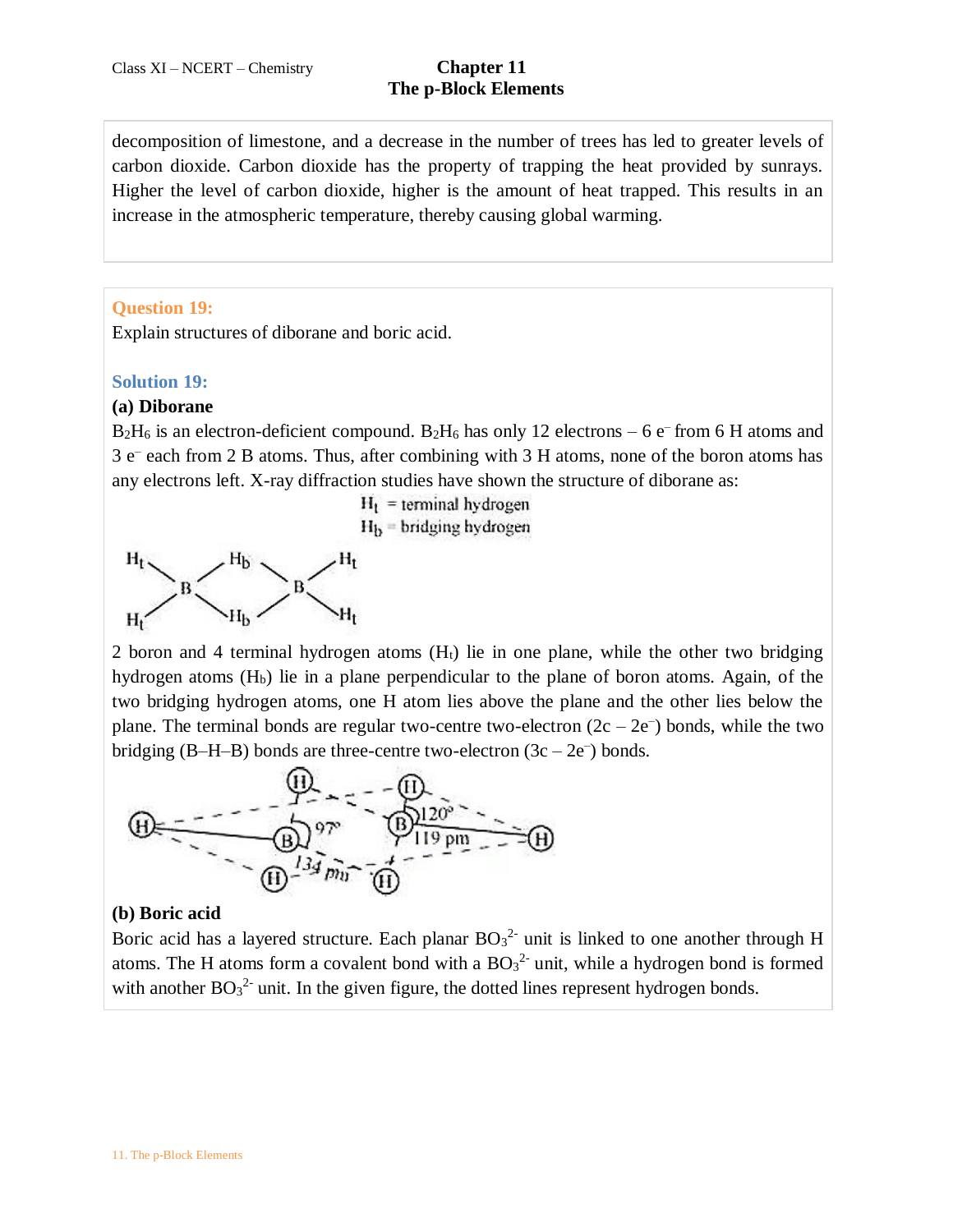decomposition of limestone, and a decrease in the number of trees has led to greater levels of carbon dioxide. Carbon dioxide has the property of trapping the heat provided by sunrays. Higher the level of carbon dioxide, higher is the amount of heat trapped. This results in an increase in the atmospheric temperature, thereby causing global warming.

## **Question 19:**

Explain structures of diborane and boric acid.

#### **Solution 19:**

#### **(a) Diborane**

 $B_2H_6$  is an electron-deficient compound.  $B_2H_6$  has only 12 electrons – 6 e<sup>–</sup> from 6 H atoms and 3 e– each from 2 B atoms. Thus, after combining with 3 H atoms, none of the boron atoms has any electrons left. X-ray diffraction studies have shown the structure of diborane as:



2 boron and 4 terminal hydrogen atoms  $(H<sub>t</sub>)$  lie in one plane, while the other two bridging hydrogen atoms  $(H<sub>b</sub>)$  lie in a plane perpendicular to the plane of boron atoms. Again, of the two bridging hydrogen atoms, one H atom lies above the plane and the other lies below the plane. The terminal bonds are regular two-centre two-electron  $(2c - 2e^{-})$  bonds, while the two bridging  $(B-H-B)$  bonds are three-centre two-electron  $(3c - 2e^{-})$  bonds.



#### **(b) Boric acid**

Boric acid has a layered structure. Each planar  $BO_3^2$  unit is linked to one another through H atoms. The H atoms form a covalent bond with a  $BO<sub>3</sub><sup>2</sup>$  unit, while a hydrogen bond is formed with another  $BO_3^2$  unit. In the given figure, the dotted lines represent hydrogen bonds.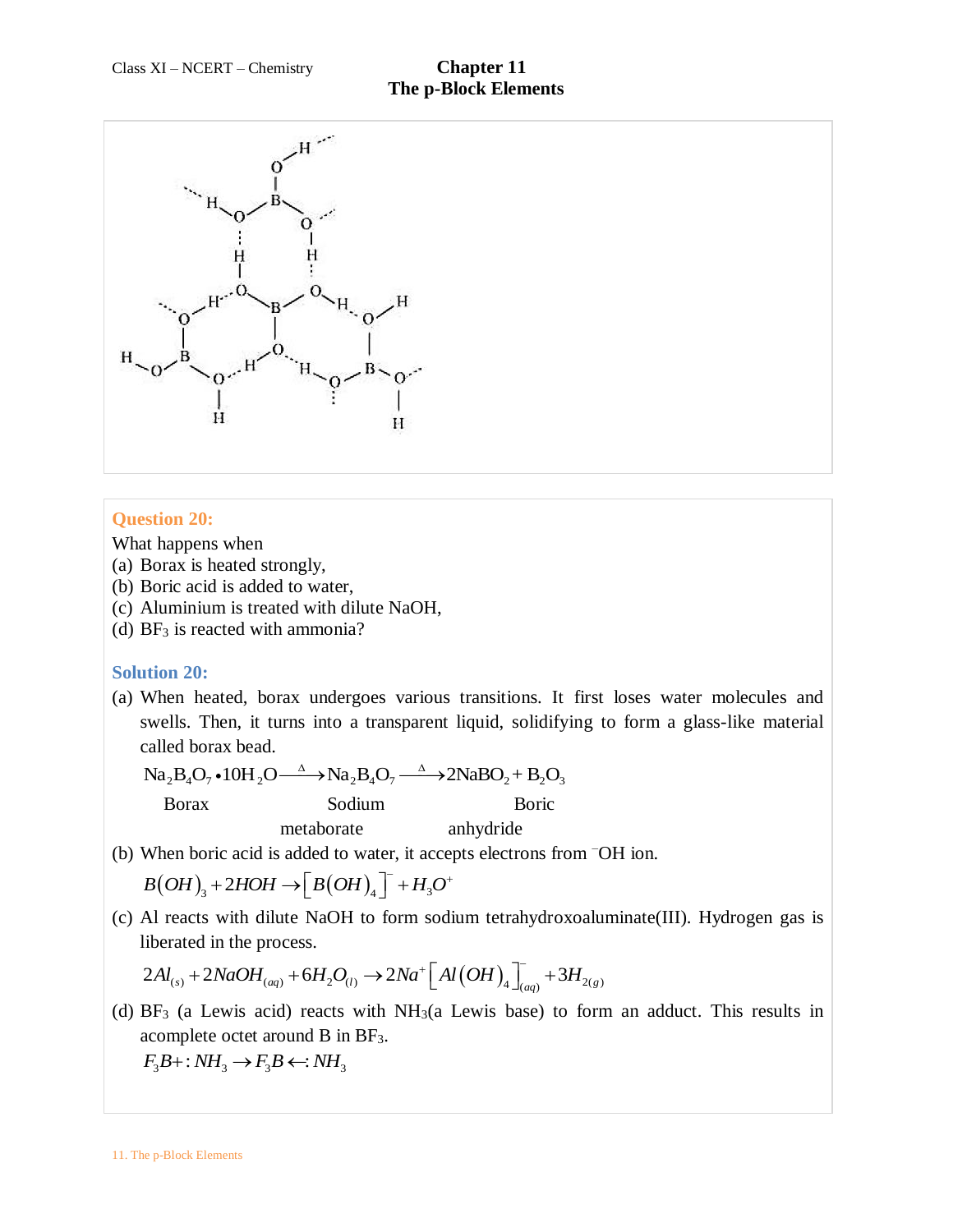

### **Question 20:**

What happens when

- (a) Borax is heated strongly,
- (b) Boric acid is added to water,
- (c) Aluminium is treated with dilute NaOH,
- (d)  $BF_3$  is reacted with ammonia?

### **Solution 20:**

(a) When heated, borax undergoes various transitions. It first loses water molecules and swells. Then, it turns into a transparent liquid, solidifying to form a glass-like material called borax bead.

 $Na<sub>2</sub>B<sub>4</sub>O<sub>7</sub> \cdot 10H<sub>2</sub>O \longrightarrow Na<sub>2</sub>B<sub>4</sub>O<sub>7</sub> \longrightarrow 2NaBO<sub>2</sub> + B<sub>2</sub>O<sub>3</sub>$ <br>Borax Sodium Boric Sodium Borg metaborate anhydride

(b) When boric acid is added to water, it accepts electrons from –OH ion.

When boric acid is added to water, it according  $B(OH)_3 + 2HOH \rightarrow [B(OH)_4] + H_3O$  $\overline{\phantom{a}}$   $\overline{\phantom{a}}$   $\overline{\phantom{a}}$ Finity according and the value of the value of  $+2HOH \rightarrow [B(OH)_4]^- + H_3O^+$ 

(c) Al reacts with dilute NaOH to form sodium tetrahydroxoaluminate(III). Hydrogen gas is liberated in the process. Al reacts with dilute NaOH to form sodium tetrahydroxoalu<br>
iberated in the process.<br>  $2Al_{(s)} + 2NaOH_{(aq)} + 6H_2O_{(l)} \rightarrow 2Na^+ \left[ Al(OH)_4 \right]_{(aq)}^- + 3H_{2(g)}$ 

$$
2Al_{(s)} + 2NaOH_{(aq)} + 6H_2O_{(l)} \rightarrow 2Na^+ \left[ Al(OH)_4 \right]_{(aq)} + 3H_{2(g)}
$$

(d)  $BF_3$  (a Lewis acid) reacts with  $NH_3(a)$  Lewis base) to form an adduct. This results in acomplete octet around B in BF3.

 $F_3B$ +:  $NH_3 \rightarrow F_3B \leftarrow: NH_3$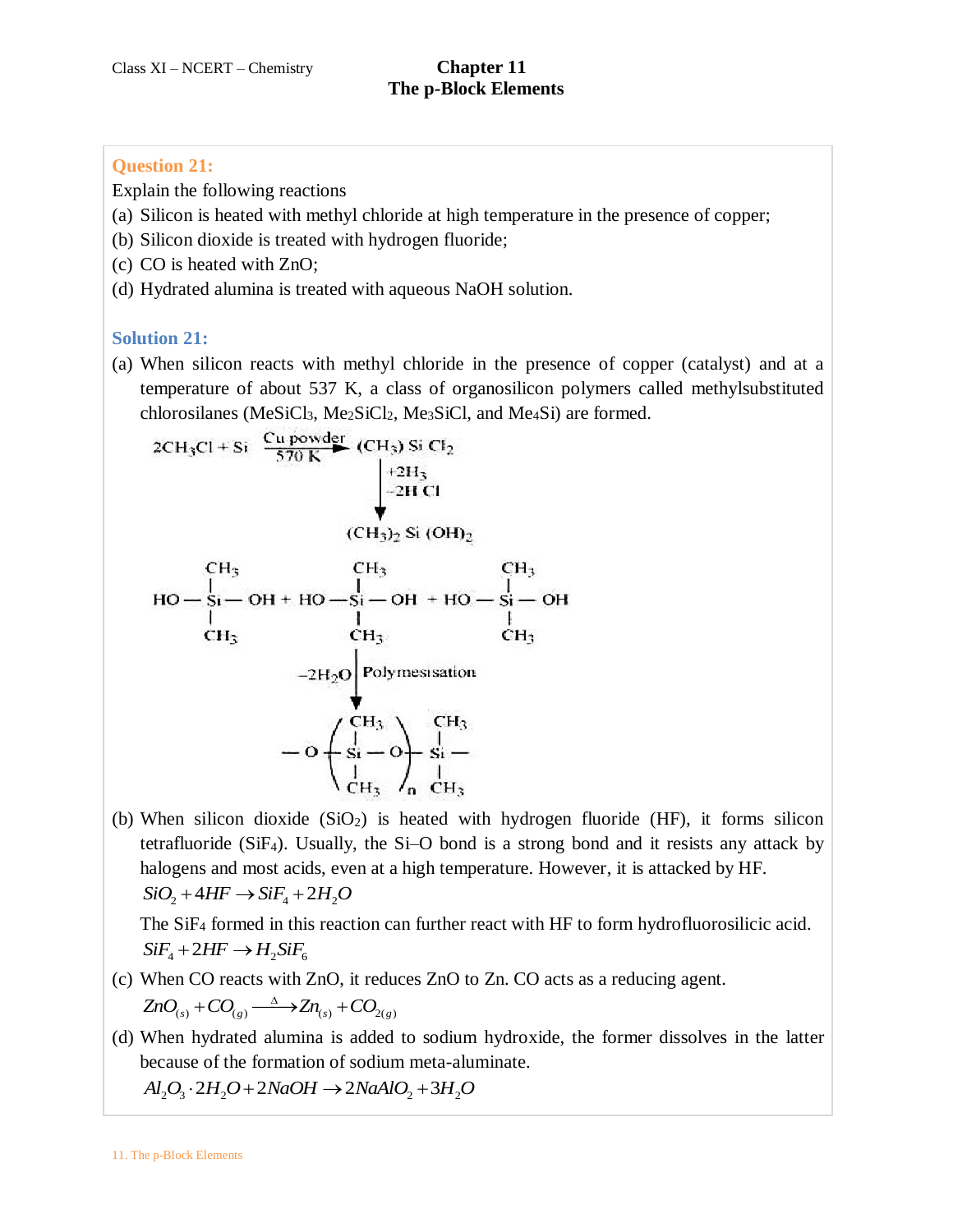# **Question 21:**

Explain the following reactions

- (a) Silicon is heated with methyl chloride at high temperature in the presence of copper;
- (b) Silicon dioxide is treated with hydrogen fluoride;
- (c) CO is heated with ZnO;
- (d) Hydrated alumina is treated with aqueous NaOH solution.

# **Solution 21:**

(a) When silicon reacts with methyl chloride in the presence of copper (catalyst) and at a temperature of about 537 K, a class of organosilicon polymers called methylsubstituted chlorosilanes (MeSiCl<sub>3</sub>, Me<sub>2</sub>SiCl<sub>2</sub>, Me<sub>3</sub>SiCl, and Me<sub>4</sub>Si) are formed.

2CH<sub>3</sub>Cl + Si 
$$
\frac{Cu
$$
 powder  
\n $+2H_3$   
\n+2HCl  
\n $+2H_1$   
\n $-2H Cl$   
\n $(CH_3)_2$  Si (OH)<sub>2</sub>  
\n $CH_3$   
\n $HO - Si - OH + HO - Si - OH + HO - Si - OH$   
\n $CH_3$   
\n $CH_3$   
\n $CH_3$   
\n $CH_3$   
\n $CH_3$   
\n $CH_3$   
\n $-2H_2O$   
\nPolymesisation  
\n $-O + \frac{CH_3}{SI} - O + \frac{CH_3}{SI} - \frac{CH_3}{SI}$   
\n $CH_3$   
\n $CH_3$   
\n $CH_3$   
\n $CH_3$   
\n $CH_3$   
\n $CH_3$   
\n $CH_3$   
\n $CH_3$   
\n $CH_3$   
\n $CH_3$   
\n $CH_3$   
\n $CH_3$   
\n $CH_3$   
\n $CH_3$   
\n $CH_3$   
\n $CH_3$   
\n $CH_3$ 

(b) When silicon dioxide  $(SiO<sub>2</sub>)$  is heated with hydrogen fluoride (HF), it forms silicon tetrafluoride  $(SiF_4)$ . Usually, the Si-O bond is a strong bond and it resists any attack by halogens and most acids, even at a high temperature. However, it is attacked by HF.  $SiO_2 + 4HF \rightarrow SiF_4 + 2H_2O$ 

The SiF<sup>4</sup> formed in this reaction can further react with HF to form hydrofluorosilicic acid.  $SiF<sub>4</sub> + 2HF \rightarrow H<sub>2</sub>SiF<sub>6</sub>$ 

- (c) When CO reacts with ZnO, it reduces ZnO to Zn. CO acts as a reducing agent. When CO reacts with ZnO, it redu $ZnO_{(s)} + CO_{(g)} \xrightarrow{\Delta} Zn_{(s)} + CO_{2(g)}$ Δ CO reacts with ZnO, it rec<br>+  $CO_{(g)} \xrightarrow{\Delta} Zn_{(s)} + CO_{20}$
- (d) When hydrated alumina is added to sodium hydroxide, the former dissolves in the latter because of the formation of sodium meta-aluminate.

 $Al_2O_3 \cdot 2H_2O + 2NaOH \rightarrow 2NaAlO_2 + 3H_2O$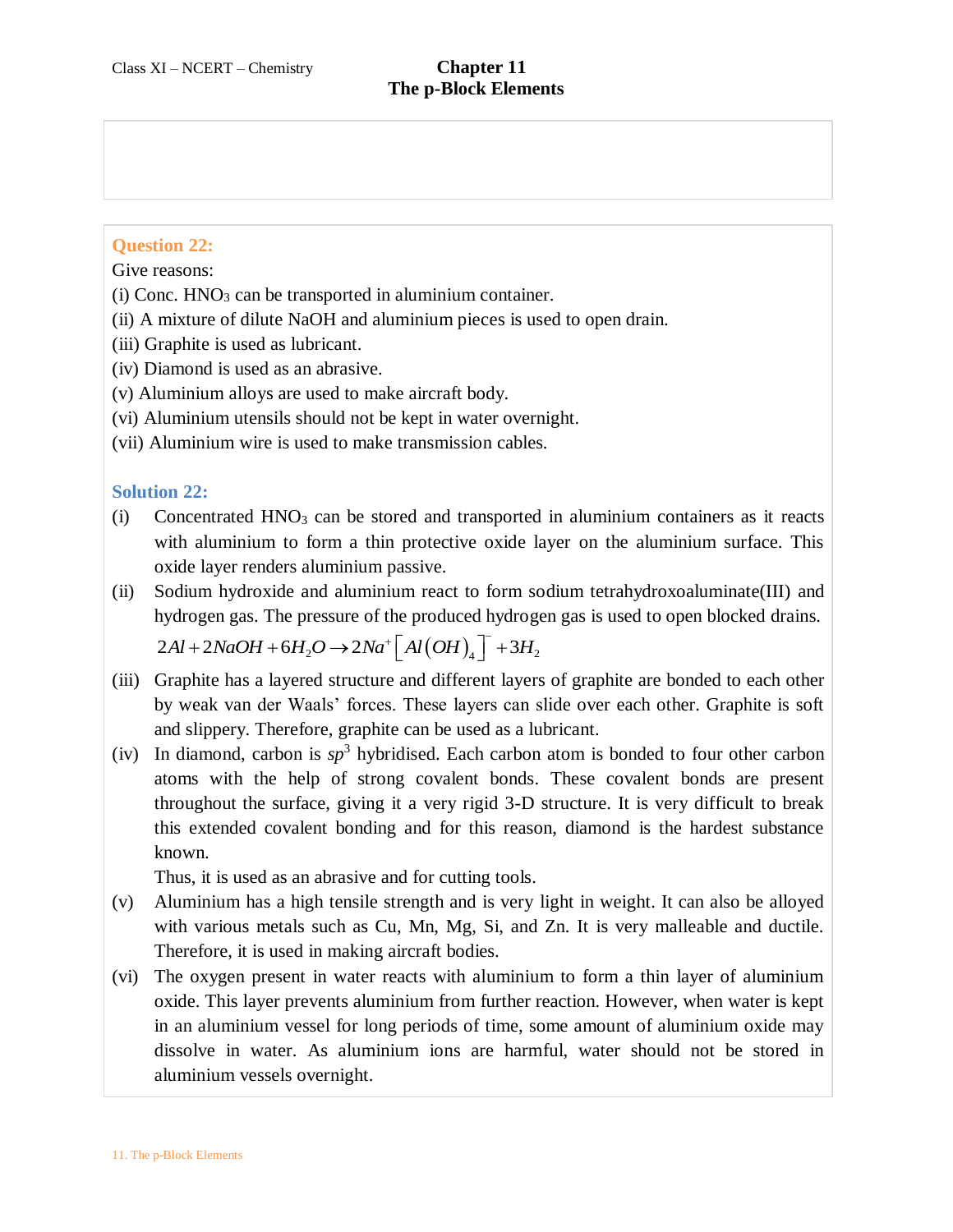# **Question 22:**

Give reasons:

- (i) Conc.  $HNO<sub>3</sub>$  can be transported in aluminium container.
- (ii) A mixture of dilute NaOH and aluminium pieces is used to open drain.
- (iii) Graphite is used as lubricant.
- (iv) Diamond is used as an abrasive.
- (v) Aluminium alloys are used to make aircraft body.
- (vi) Aluminium utensils should not be kept in water overnight.
- (vii) Aluminium wire is used to make transmission cables.

### **Solution 22:**

- (i) Concentrated  $HNO<sub>3</sub>$  can be stored and transported in aluminium containers as it reacts with aluminium to form a thin protective oxide layer on the aluminium surface. This oxide layer renders aluminium passive.
- (ii) Sodium hydroxide and aluminium react to form sodium tetrahydroxoaluminate(III) and hydrogen gas. The pressure of the produced hydrogen gas is used to open blocked drains. Sodium hydroxide and aluminium react to form sod<br>hydrogen gas. The pressure of the produced hydrogen<br> $2Al + 2NaOH + 6H_2O \rightarrow 2Na^+ \left[ Al(OH)_4 \right]^- + 3H_2$

$$
2Al + 2NaOH + 6H_2O \rightarrow 2Na^+\left[Al(OH)_4\right]^- + 3H_2
$$

- (iii) Graphite has a layered structure and different layers of graphite are bonded to each other by weak van der Waals' forces. These layers can slide over each other. Graphite is soft and slippery. Therefore, graphite can be used as a lubricant.
- (iv) In diamond, carbon is  $sp^3$  hybridised. Each carbon atom is bonded to four other carbon atoms with the help of strong covalent bonds. These covalent bonds are present throughout the surface, giving it a very rigid 3-D structure. It is very difficult to break this extended covalent bonding and for this reason, diamond is the hardest substance known.

Thus, it is used as an abrasive and for cutting tools.

- (v) Aluminium has a high tensile strength and is very light in weight. It can also be alloyed with various metals such as Cu, Mn, Mg, Si, and Zn. It is very malleable and ductile. Therefore, it is used in making aircraft bodies.
- (vi) The oxygen present in water reacts with aluminium to form a thin layer of aluminium oxide. This layer prevents aluminium from further reaction. However, when water is kept in an aluminium vessel for long periods of time, some amount of aluminium oxide may dissolve in water. As aluminium ions are harmful, water should not be stored in aluminium vessels overnight.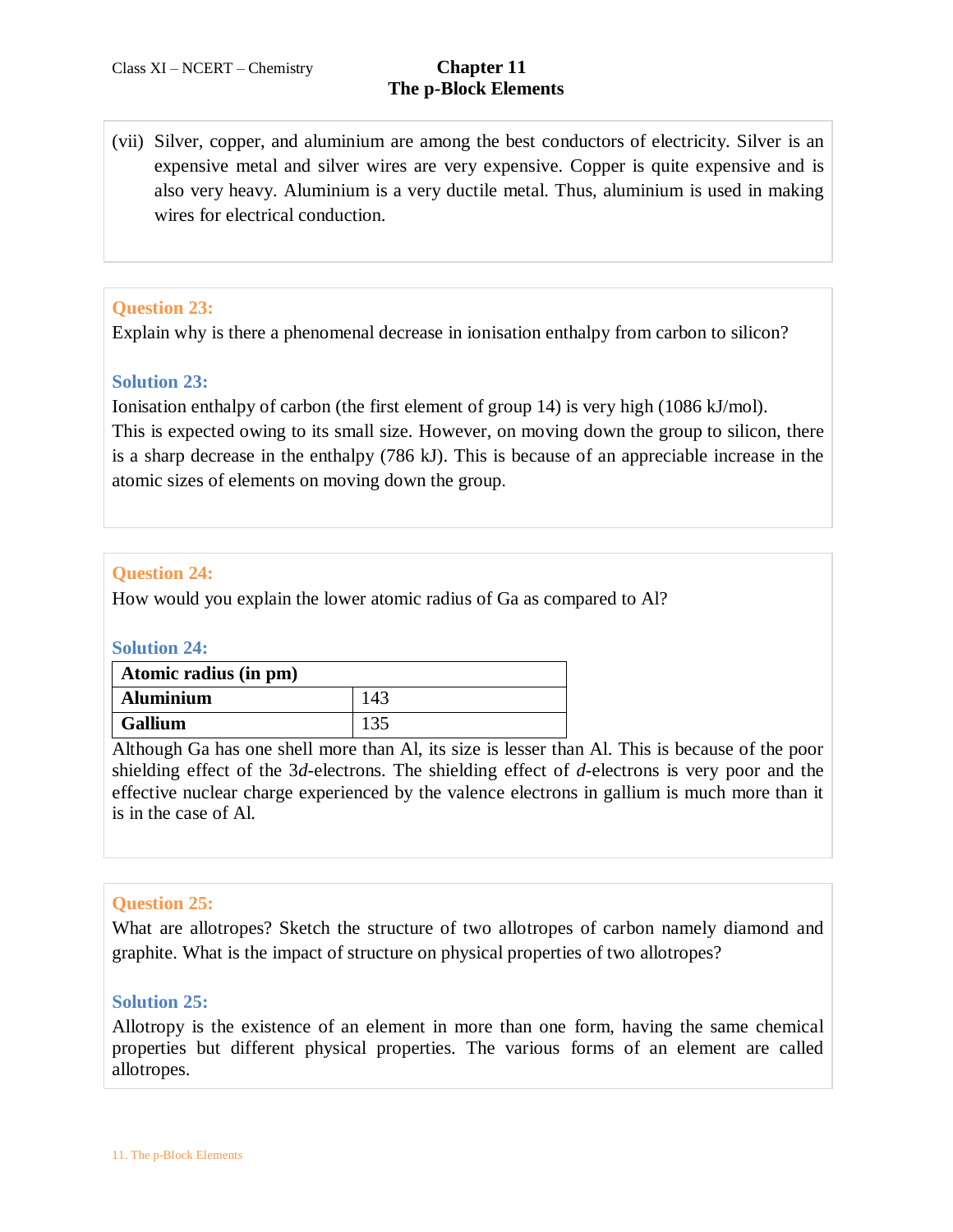(vii) Silver, copper, and aluminium are among the best conductors of electricity. Silver is an expensive metal and silver wires are very expensive. Copper is quite expensive and is also very heavy. Aluminium is a very ductile metal. Thus, aluminium is used in making wires for electrical conduction.

# **Question 23:**

Explain why is there a phenomenal decrease in ionisation enthalpy from carbon to silicon?

# **Solution 23:**

Ionisation enthalpy of carbon (the first element of group 14) is very high (1086 kJ/mol). This is expected owing to its small size. However, on moving down the group to silicon, there is a sharp decrease in the enthalpy (786 kJ). This is because of an appreciable increase in the atomic sizes of elements on moving down the group.

# **Question 24:**

How would you explain the lower atomic radius of Ga as compared to Al?

### **Solution 24:**

| Atomic radius (in pm) |     |
|-----------------------|-----|
| <b>Aluminium</b>      | 143 |
| Gallium               |     |

Although Ga has one shell more than Al, its size is lesser than Al. This is because of the poor shielding effect of the 3*d*-electrons. The shielding effect of *d*-electrons is very poor and the effective nuclear charge experienced by the valence electrons in gallium is much more than it is in the case of Al.

### **Question 25:**

What are allotropes? Sketch the structure of two allotropes of carbon namely diamond and graphite. What is the impact of structure on physical properties of two allotropes?

### **Solution 25:**

Allotropy is the existence of an element in more than one form, having the same chemical properties but different physical properties. The various forms of an element are called allotropes.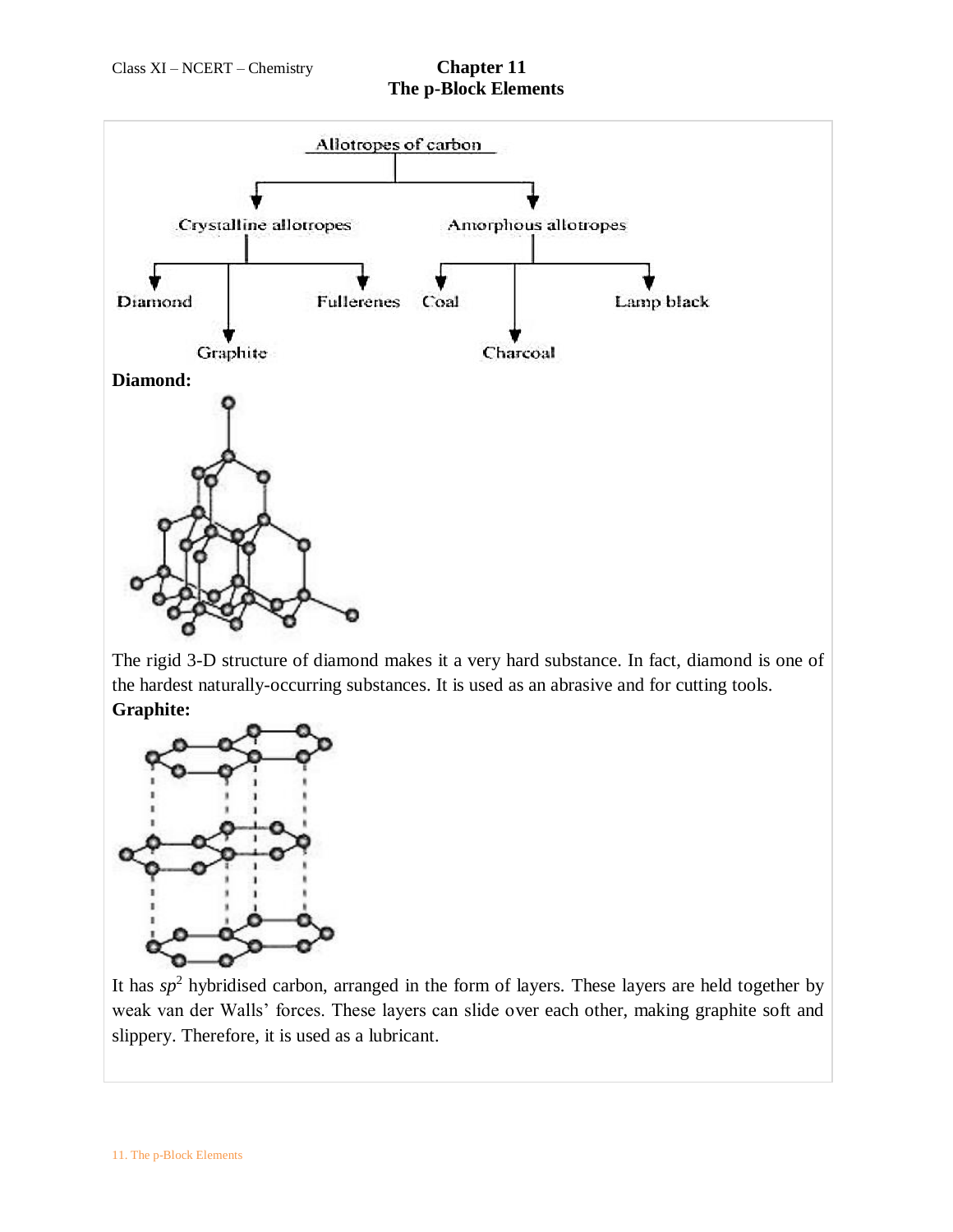

The rigid 3-D structure of diamond makes it a very hard substance. In fact, diamond is one of the hardest naturally-occurring substances. It is used as an abrasive and for cutting tools. **Graphite:**



It has  $sp<sup>2</sup>$  hybridised carbon, arranged in the form of layers. These layers are held together by weak van der Walls' forces. These layers can slide over each other, making graphite soft and slippery. Therefore, it is used as a lubricant.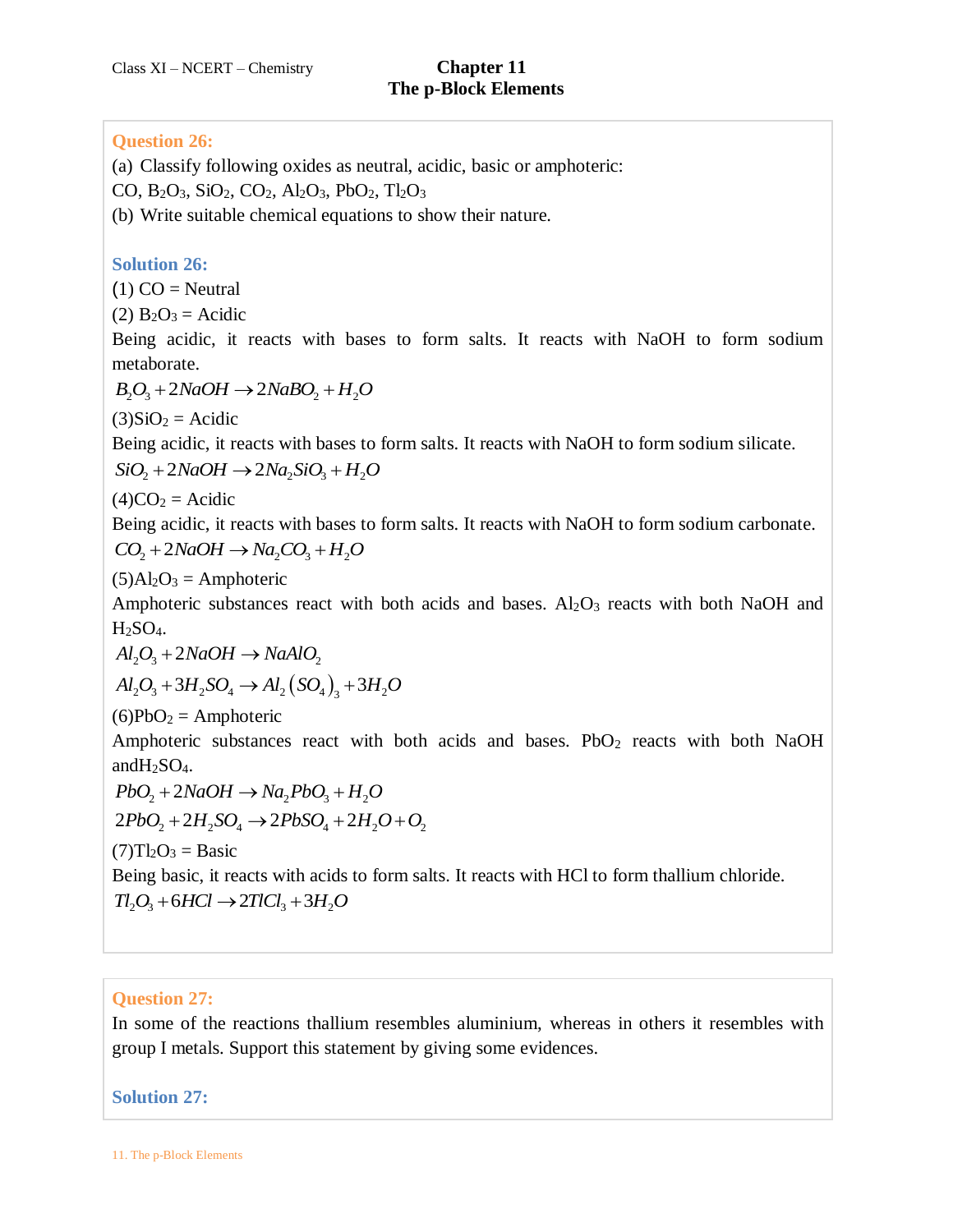## **Question 26:**

(a) Classify following oxides as neutral, acidic, basic or amphoteric:

CO,  $B_2O_3$ ,  $SiO_2$ ,  $CO_2$ ,  $Al_2O_3$ ,  $PbO_2$ ,  $Tl_2O_3$ 

(b) Write suitable chemical equations to show their nature.

## **Solution 26:**

 $(1) CO =$  Neutral

 $(2)$  B<sub>2</sub>O<sub>3</sub> = Acidic

Being acidic, it reacts with bases to form salts. It reacts with NaOH to form sodium metaborate.

 $B_2O_3 + 2NaOH \rightarrow 2NaBO_2 + H_2O$ 

 $(3)SiO<sub>2</sub> = Acidic$ 

Being acidic, it reacts with bases to form salts. It reacts with NaOH to form sodium silicate.

 $SiO_2 + 2NaOH \rightarrow 2Na_2SiO_3 + H_2O$ 

 $(4)CO<sub>2</sub> = Acidic$ 

Being acidic, it reacts with bases to form salts. It reacts with NaOH to form sodium carbonate.<br> $CO_2 + 2NaOH \rightarrow Na_2CO_3 + H_2O$ 

$$
CO_2 + 2NaOH \rightarrow Na_2CO_3 + H_2O
$$

 $(5)$ Al<sub>2</sub>O<sub>3</sub> = Amphoteric

Amphoteric substances react with both acids and bases.  $Al_2O_3$  reacts with both NaOH and  $H<sub>2</sub>SO<sub>4</sub>$ .

 $Al_2O_3 + 2NaOH \rightarrow NaAlO_2$ <br> $Al_2O_3 + 3H_2SO_4 \rightarrow Al_2(SO_4)_3 + 3H_2O$  $A_2$ SO<sub>4</sub>.<br> $A_2O_3 + 2NaOH \rightarrow NaAlO_2$ 

 $(6)PbO<sub>2</sub> =$  Amphoteric

Amphoteric substances react with both acids and bases.  $PbO<sub>2</sub>$  reacts with both NaOH and $H<sub>2</sub>SO<sub>4</sub>$ .

 $PbO_2 + 2NaOH \rightarrow Na_2PbO_3 + H_2$ <br>  $2PbO_2 + 2H_2SO_4 \rightarrow 2PbSO_4 + 2H_2$  $pbo_2 + 2NaOH \rightarrow Na_2PbO_3 + H_2O$  $PbO_2 + 2NaOH \rightarrow Na_2PbO_3 + H_2O$ <br> $PbO_2 + 2H_2SO_4 \rightarrow 2PbSO_4 + 2H_2O + O_2$ SO<sub>4</sub>.<br>+ 2*NaOH*  $\rightarrow$  *Na<sub>2</sub>PbO*<sub>3</sub> + *H*<sub>2</sub>*O* 

$$
PbO2 + 2NaOH \rightarrow Na2PbO3 + H2O
$$
  

$$
2PbO2 + 2H2SO4 \rightarrow 2PbSO4 + 2H2O + O2
$$

 $(7)Tl_2O_3 = Basic$ 

Being basic, it reacts with acids to form salts. It reacts with HCl to form thallium chloride.  $Tl_2O_3 + 6HCl \rightarrow 2TlCl_3 + 3H_2O$ 

# **Question 27:**

In some of the reactions thallium resembles aluminium, whereas in others it resembles with group I metals. Support this statement by giving some evidences.

**Solution 27:**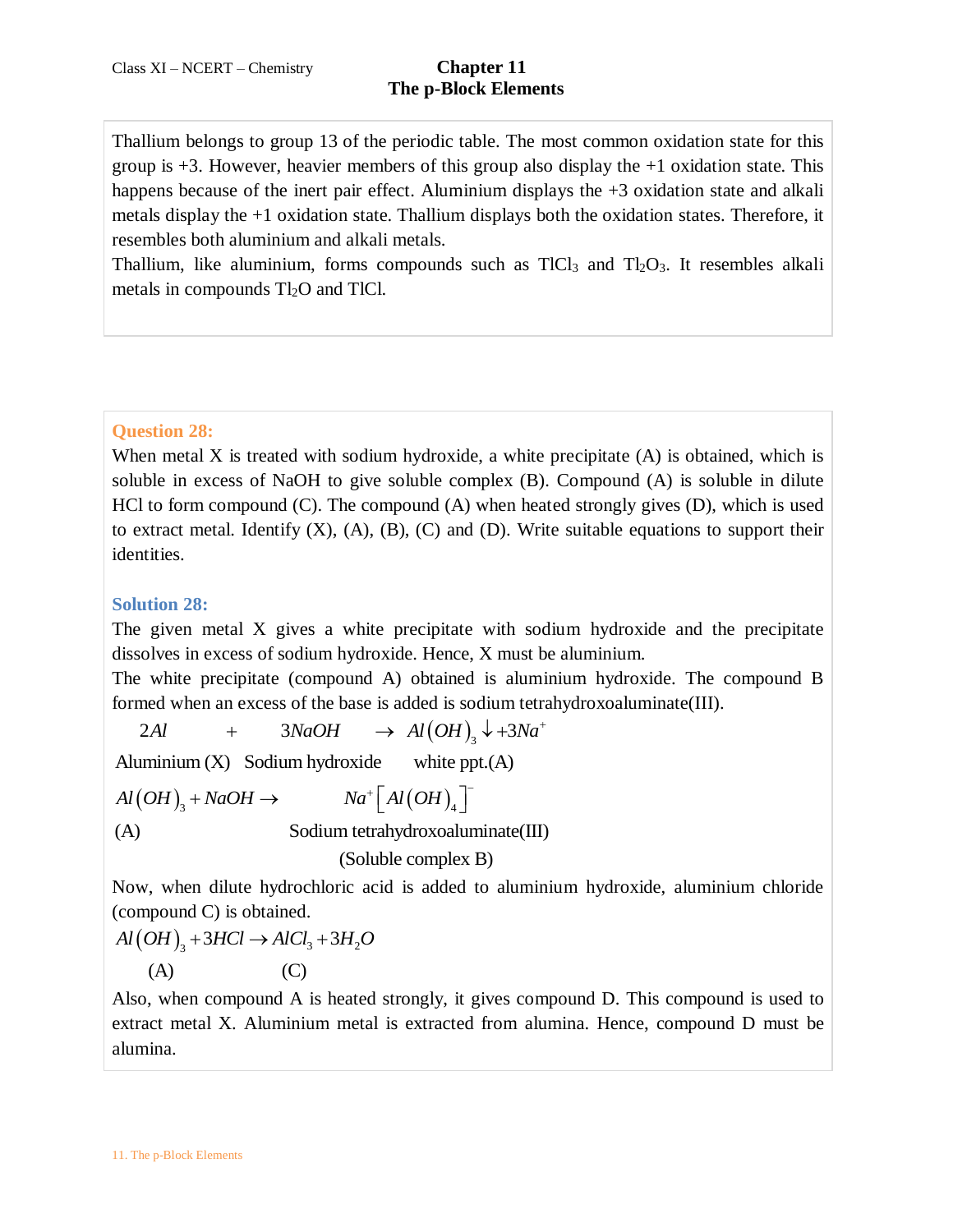Thallium belongs to group 13 of the periodic table. The most common oxidation state for this group is  $+3$ . However, heavier members of this group also display the  $+1$  oxidation state. This happens because of the inert pair effect. Aluminium displays the  $+3$  oxidation state and alkali metals display the +1 oxidation state. Thallium displays both the oxidation states. Therefore, it resembles both aluminium and alkali metals.

Thallium, like aluminium, forms compounds such as  $TICI_3$  and  $TI_2O_3$ . It resembles alkali metals in compounds  $Tl_2O$  and TlCl.

# **Question 28:**

When metal X is treated with sodium hydroxide, a white precipitate  $(A)$  is obtained, which is soluble in excess of NaOH to give soluble complex (B). Compound (A) is soluble in dilute HCl to form compound (C). The compound (A) when heated strongly gives (D), which is used to extract metal. Identify  $(X)$ ,  $(A)$ ,  $(B)$ ,  $(C)$  and  $(D)$ . Write suitable equations to support their identities.

# **Solution 28:**

The given metal X gives a white precipitate with sodium hydroxide and the precipitate dissolves in excess of sodium hydroxide. Hence, X must be aluminium.

The white precipitate (compound A) obtained is aluminium hydroxide. The compound B formed when an excess of the base is added is sodium tetrahydroxoaluminate(III). E white precipitate (compound A) obtained is aluminius<br>
are white precipitate (compound A) obtained is aluminius<br>
and when an excess of the base is added is sodium tetrahy<br>  $2Al + 3NaOH \rightarrow Al(OH)_3 \rightarrow +3Na^+$ <br>  $4Al (OH)_3 + NaOH \rightarrow Na^+ [Al(OH)_4]$ 

$$
2Al + 3NaOH \rightarrow Al(OH)_3 \downarrow + 3Na^+
$$

Aluminium (X) Sodium hydroxide white ppt.(A)<br>  $Al(OH)_3 + NaOH \rightarrow Na^+ [Al(OH)_4]$ (A) Sodium tetrahydroxoaluminate(III) (Soluble complex B)  $+\Gamma_{\text{Al}}(\text{au})$  T m (X) Sodium hydroxide white ppt.(A)<br>+ NaOH  $\rightarrow$  Na<sup>+</sup>  $\left[Al(OH)_{4}\right]^{-}$ 

Now, when dilute hydrochloric acid is added to aluminium hydroxide, aluminium chloride

(compound C) is obtained.

\n
$$
Al(OH)_3 + 3HCl \rightarrow AlCl_3 + 3H_2O
$$
\n(A)

\n(C)

Also, when compound A is heated strongly, it gives compound D. This compound is used to extract metal X. Aluminium metal is extracted from alumina. Hence, compound D must be alumina.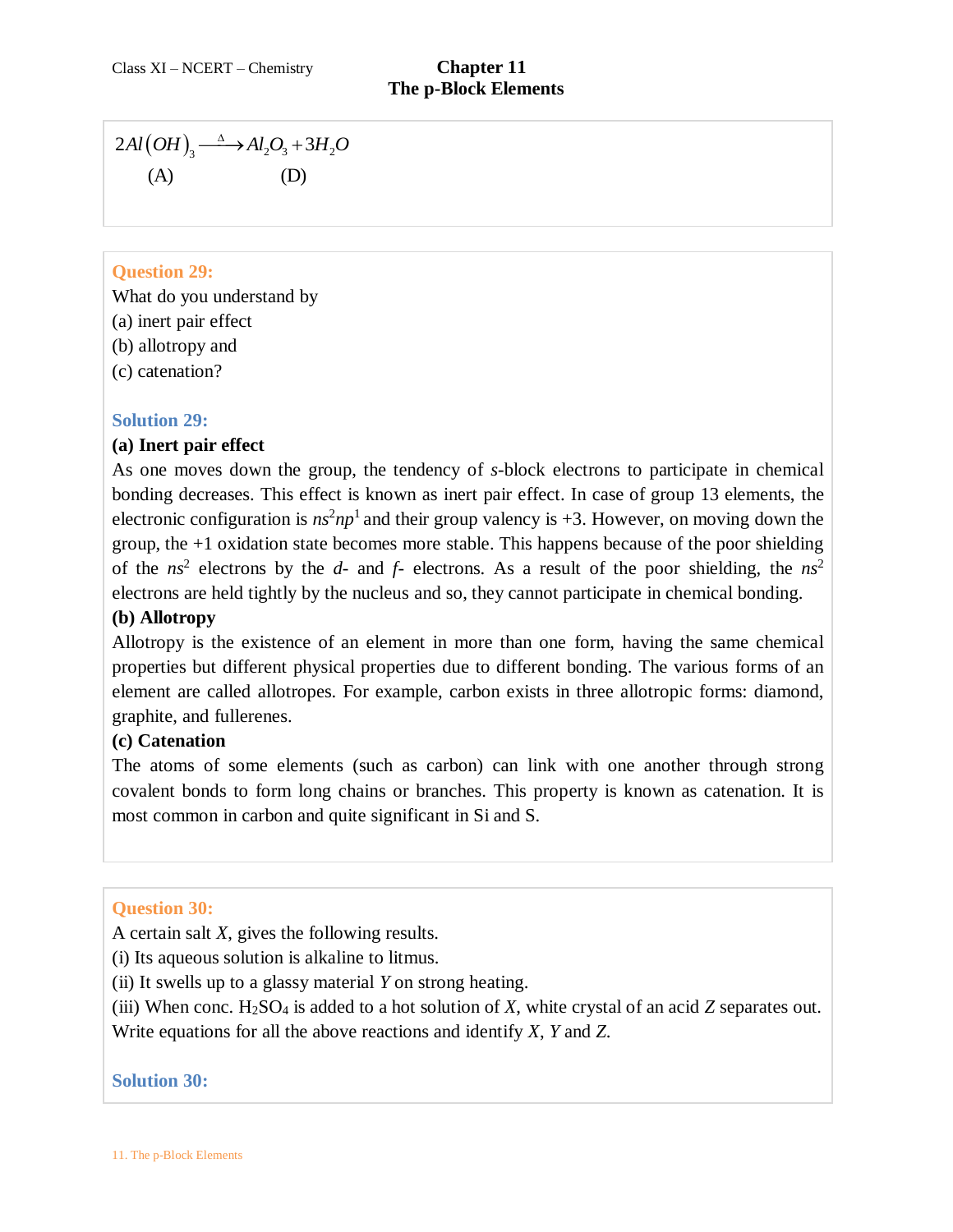$(A)$   $(A)$   $(D)$  $Al(OH)_{3} \longrightarrow Al_{2}O_{3} + 3H_{2}O$ 

# **Question 29:**

- What do you understand by
- (a) inert pair effect
- (b) allotropy and
- (c) catenation?

# **Solution 29:**

# **(a) Inert pair effect**

2*Al*(*OH*)<sub>3</sub>  $\xrightarrow{\Delta}$   $\rightarrow$  *Al*<sub>2</sub>*O*<sub>3</sub> + 3*H*<sub>2</sub><br>(A) (D)<br> **Question 29:**<br>
What do you understand by<br>
(a) inert pair effect<br>
(b) allotropy and<br>
(c) catenation?<br> **Solution 29:**<br> **Solution 29:**<br> **Solution 29:**<br> **Solution** As one moves down the group, the tendency of *s*-block electrons to participate in chemical bonding decreases. This effect is known as inert pair effect. In case of group 13 elements, the electronic configuration is  $ns^2np^1$  and their group valency is  $+3$ . However, on moving down the group, the +1 oxidation state becomes more stable. This happens because of the poor shielding of the  $ns^2$  electrons by the  $d$ - and  $f$ - electrons. As a result of the poor shielding, the  $ns^2$ electrons are held tightly by the nucleus and so, they cannot participate in chemical bonding.

# **(b) Allotropy**

Allotropy is the existence of an element in more than one form, having the same chemical properties but different physical properties due to different bonding. The various forms of an element are called allotropes. For example, carbon exists in three allotropic forms: diamond, graphite, and fullerenes.

# **(c) Catenation**

The atoms of some elements (such as carbon) can link with one another through strong covalent bonds to form long chains or branches. This property is known as catenation. It is most common in carbon and quite significant in Si and S.

# **Question 30:**

A certain salt *X*, gives the following results.

(i) Its aqueous solution is alkaline to litmus.

(ii) It swells up to a glassy material *Y* on strong heating.

(iii) When conc. H2SO<sup>4</sup> is added to a hot solution of *X*, white crystal of an acid *Z* separates out. Write equations for all the above reactions and identify *X*, *Y* and *Z*.

# **Solution 30:**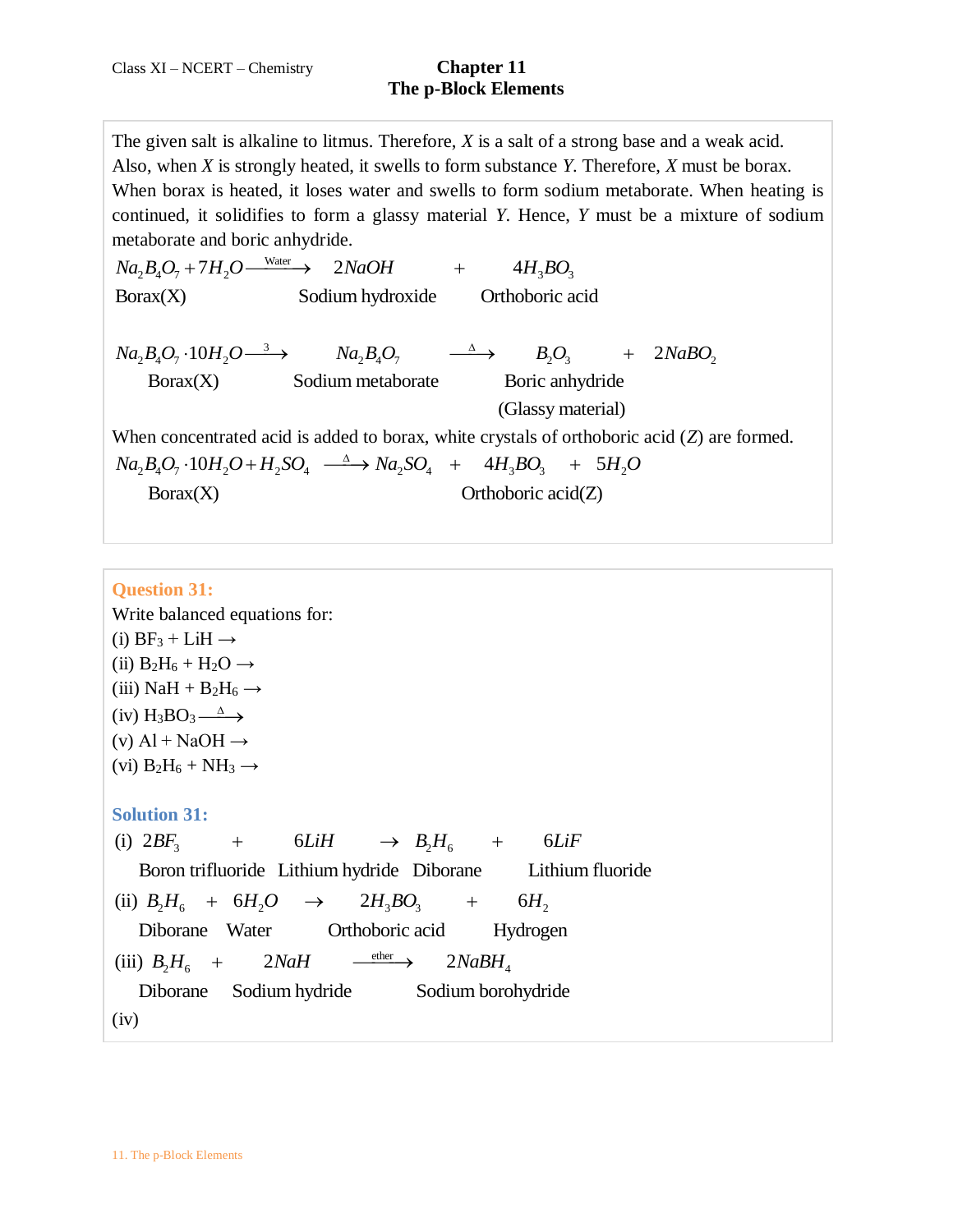The given salt is alkaline to litmus. Therefore, *X* is a salt of a strong base and a weak acid. Also, when *X* is strongly heated, it swells to form substance *Y*. Therefore, *X* must be borax. When borax is heated, it loses water and swells to form sodium metaborate. When heating is continued, it solidifies to form a glassy material *Y*. Hence, *Y* must be a mixture of sodium metaborate and boric anhydride.<br>  $Na_2B_4O_7 + 7H_2O \xrightarrow{\text{Water}} 2NaOH$  +  $4H_3BO_3$ metaborate and boric anhydride.

Water metaborate and boric anhydride.<br>  $Na_2B_4O_7 + 7H_2O \xrightarrow{\text{Water}} 2NaOH + 4H_3BO_3$ <br>
Borax(X) Sodium hydroxide Orthoboric acid  $10H_2O \longrightarrow Na_2B_4O_7 \longrightarrow B_2O_3 + 2$  $_2B_4O_7 \cdot 10H_2O \longrightarrow$   $Na_2B_4O_7$   $\longrightarrow$   $B_2O_3$  +  $2NaBO_2$  $Na_2B_4O_7 \cdot 10H_2O \longrightarrow Na_2B_4O_7 \longrightarrow B_2O_3$ <br>Borax(X) Sodium metaborate Boric anhydride (Glassy material ) Borax(X) Sodium hydroxide Orthoboric acid<br>  $Na_2B_4O_7 \cdot 10H_2O \longrightarrow Na_2B_4O_7 \longrightarrow Na_2B_4O_7$ <br>
Borax(X) Sodium moteborate Boris enhandels Sodium hydroxide Orthoboric acid<br>  $\cdot 10H_2O \longrightarrow Na_2B_4O_7$   $\longrightarrow B_2O_3$  + (Glassy material)<br>
When concentrated acid is added to borax, white crystals of orthoboric acid (*Z*) are formed.<br>  $Na_2B_4O_7 \cdot 10H_2O + H_2SO_4 \xrightarrow{\Delta} Na_2SO_4 + 4H_3BO_3 + 5H_2O$  $Na_2B_4O_7 \cdot 10H_2O + H_2SO_4 \longrightarrow Na_2SO_4 + 4H_3BO_3 + 5H_2O$  $Borax(X)$  Orthoboric acid(Z)

#### **Question 31:**

Write balanced equations for: (i)  $BF_3 + LiH \rightarrow$ (ii)  $B_2H_6 + H_2O \rightarrow$ (iii) NaH +  $B_2H_6 \rightarrow$  $(iv) H_3BO_3 \xrightarrow{\Delta}$  $(v)$  Al + NaOH  $\rightarrow$ (vi)  $B_2H_6 + NH_3 \rightarrow$ **Solution 31:** Solution 31:<br>
(i)  $2BF_3$  + 6LiH  $\rightarrow B_2H_6$  + 6 Solution 31:<br>
(i)  $2BF_3$  + 6*LiH*  $\rightarrow B_2H_6$  + 6*LiF*<br>
Boron trifluoride Lithium hydride Diborane Lithium fluoride  $B_3$  +  $6LiH$   $\rightarrow$   $B_2H_6$  +  $6LiF$ <br> $B_3$  +  $6LiH$   $\rightarrow$   $B_2H_6$  +  $6LiF$ (ii)  $B_2H_6 + 6H_2O \rightarrow 2H_3BO_3 + 6H_2$ Boron unitionite Ethnum hydride Diborane<br>
(ii)  $B_2H_6 + 6H_2O \rightarrow 2H_3BO_3 + 6H_2$ <br>
Diborane Water Orthoboric acid Hydrogen  $B_2H_3$  +  $0LtH$   $\rightarrow$   $B_2H_6$  +<br>Boron trifluoride Lithium hydride Diborane Li<br> $B_2H_6$  +  $6H_2O$   $\rightarrow$   $2H_3BO_3$  +  $6H$  $\xrightarrow{\text{ether}}$  $\frac{1}{2}H_6 + 2N aH \xrightarrow{\text{other}} 2N aBH_4$ (iii)  $B_2H_6 + 2N aH \xrightarrow{\text{ether}} 2N aBH_4$ Diborane Water Orthoboric acid Hydrogen<br>  $D B_2 H_6 + 2N aH \xrightarrow{\text{other}} 2N aBH_4$ <br>
Diborane Sodium hydride Sodium borohydride  $B_2H_6 + 9H_2O \rightarrow 2H_3DO_3 +$ <br> *B*<sub>2</sub> $H_6 + 2NaH \rightarrow 2NaBH$  $(iv)$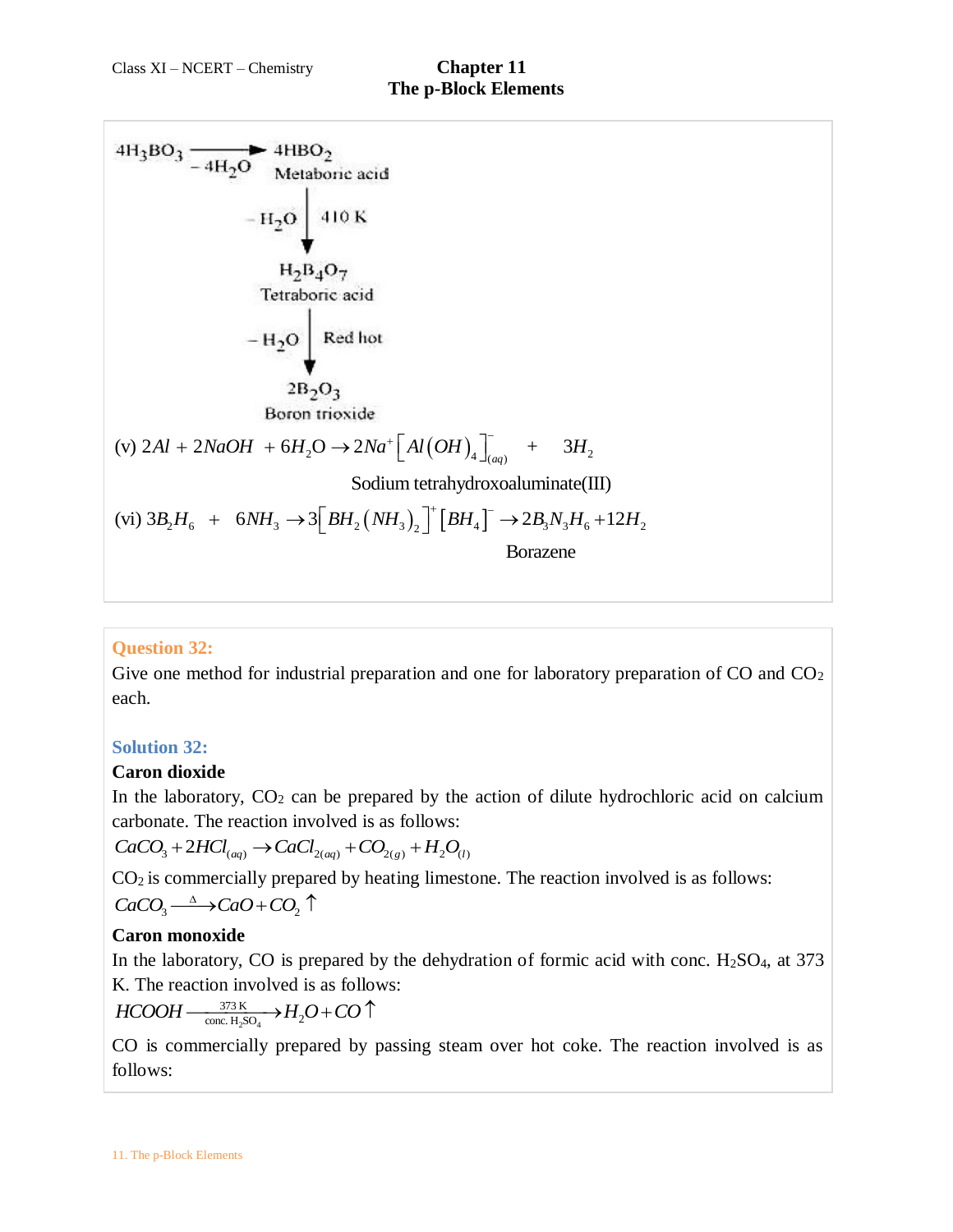

# **Question 32:**

Give one method for industrial preparation and one for laboratory preparation of  $CO$  and  $CO<sub>2</sub>$ each.

### **Solution 32:**

### **Caron dioxide**

In the laboratory,  $CO<sub>2</sub>$  can be prepared by the action of dilute hydrochloric acid on calcium carbonate. The reaction involved is as follows:

 $CaCO<sub>3</sub> + 2HCl<sub>(aq)</sub> \rightarrow CaCl<sub>2(aq)</sub> + CO<sub>2(g)</sub> + H<sub>2</sub>O<sub>(l)</sub>$ 

 $CO<sub>2</sub>$  is commercially prepared by heating limestone. The reaction involved is as follows:  $CaCO<sub>3</sub> \longrightarrow CaO + CO<sub>2</sub>$   $\uparrow$ 

# **Caron monoxide**

In the laboratory, CO is prepared by the dehydration of formic acid with conc.  $H_2SO_4$ , at 373

K. The reaction involved is as follows:  

$$
HCOOH \xrightarrow[1.500]{}^{373}K \xrightarrow[1.500]{} H_2O + CO \uparrow
$$

CO is commercially prepared by passing steam over hot coke. The reaction involved is as follows: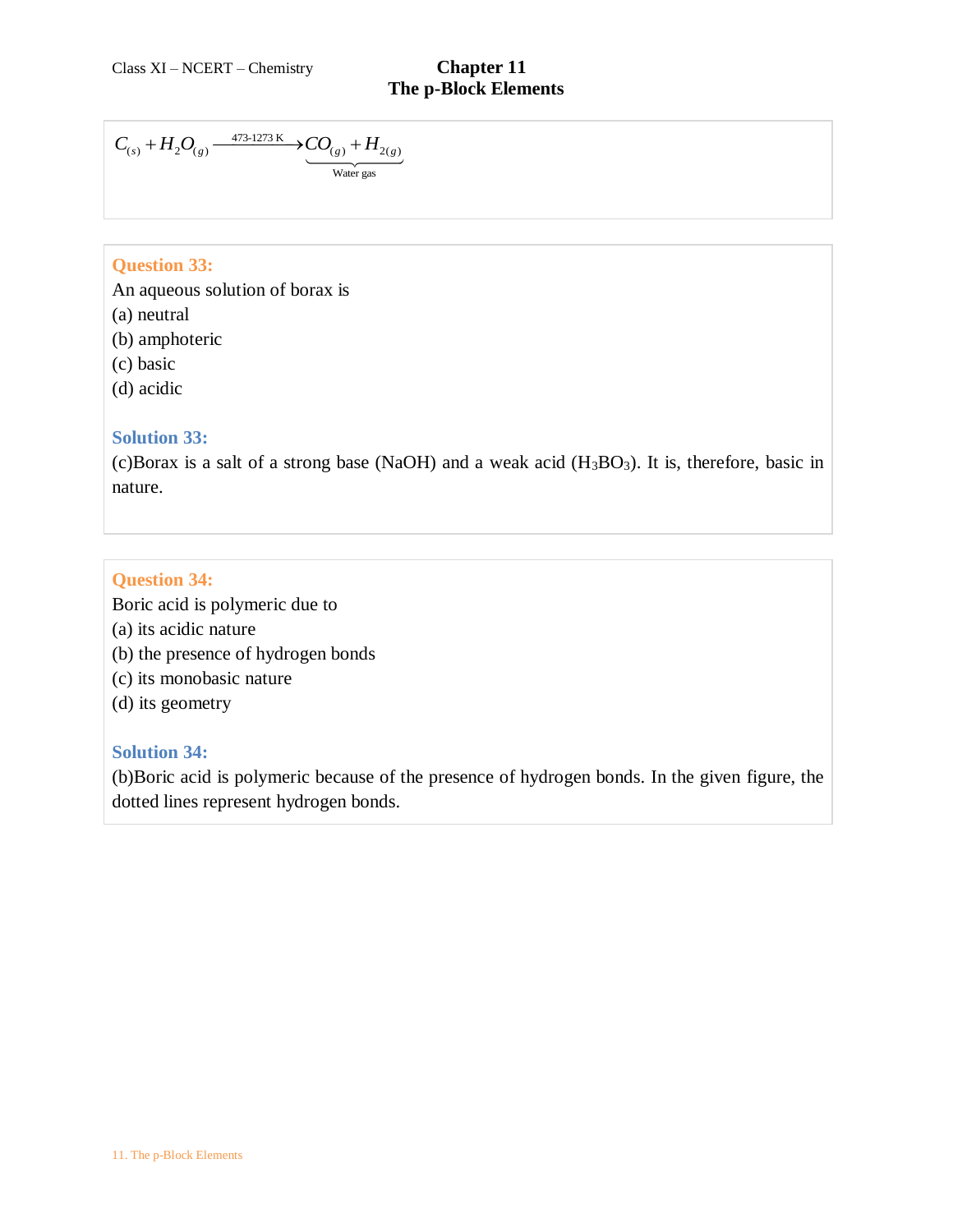$$
C_{(s)} + H_2O_{(g)} \xrightarrow{\phantom{g}473\text{-}1273\text{ K}} \underbrace{CO_{(g)} + H_{2(g)}}_{\text{Water gas}}
$$

## **Question 33:**

An aqueous solution of borax is

- (a) neutral
- (b) amphoteric
- (c) basic
- (d) acidic

### **Solution 33:**

(c)Borax is a salt of a strong base (NaOH) and a weak acid  $(H_3BO_3)$ . It is, therefore, basic in nature.

# **Question 34:**

Boric acid is polymeric due to

- (a) its acidic nature
- (b) the presence of hydrogen bonds
- (c) its monobasic nature
- (d) its geometry

### **Solution 34:**

(b)Boric acid is polymeric because of the presence of hydrogen bonds. In the given figure, the dotted lines represent hydrogen bonds.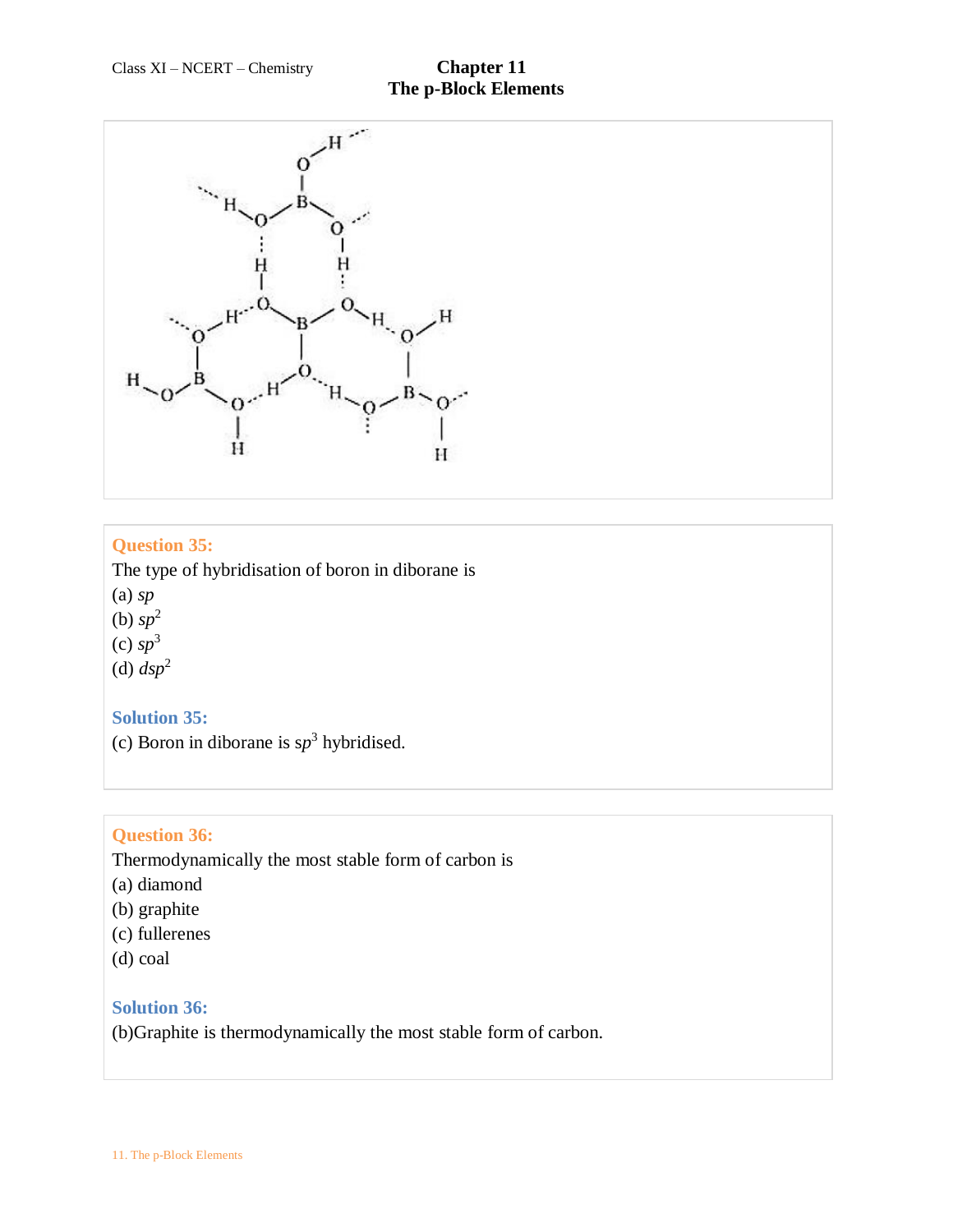

### **Question 35:**

The type of hybridisation of boron in diborane is (a) *sp*  (b) *sp*<sup>2</sup>

 $(c)$   $sp<sup>3</sup>$ 

(d)  $dsp^2$ 

### **Solution 35:**

(c) Boron in diborane is  $sp^3$  hybridised.

### **Question 36:**

Thermodynamically the most stable form of carbon is

- (a) diamond
- (b) graphite
- (c) fullerenes
- (d) coal

### **Solution 36:**

(b)Graphite is thermodynamically the most stable form of carbon.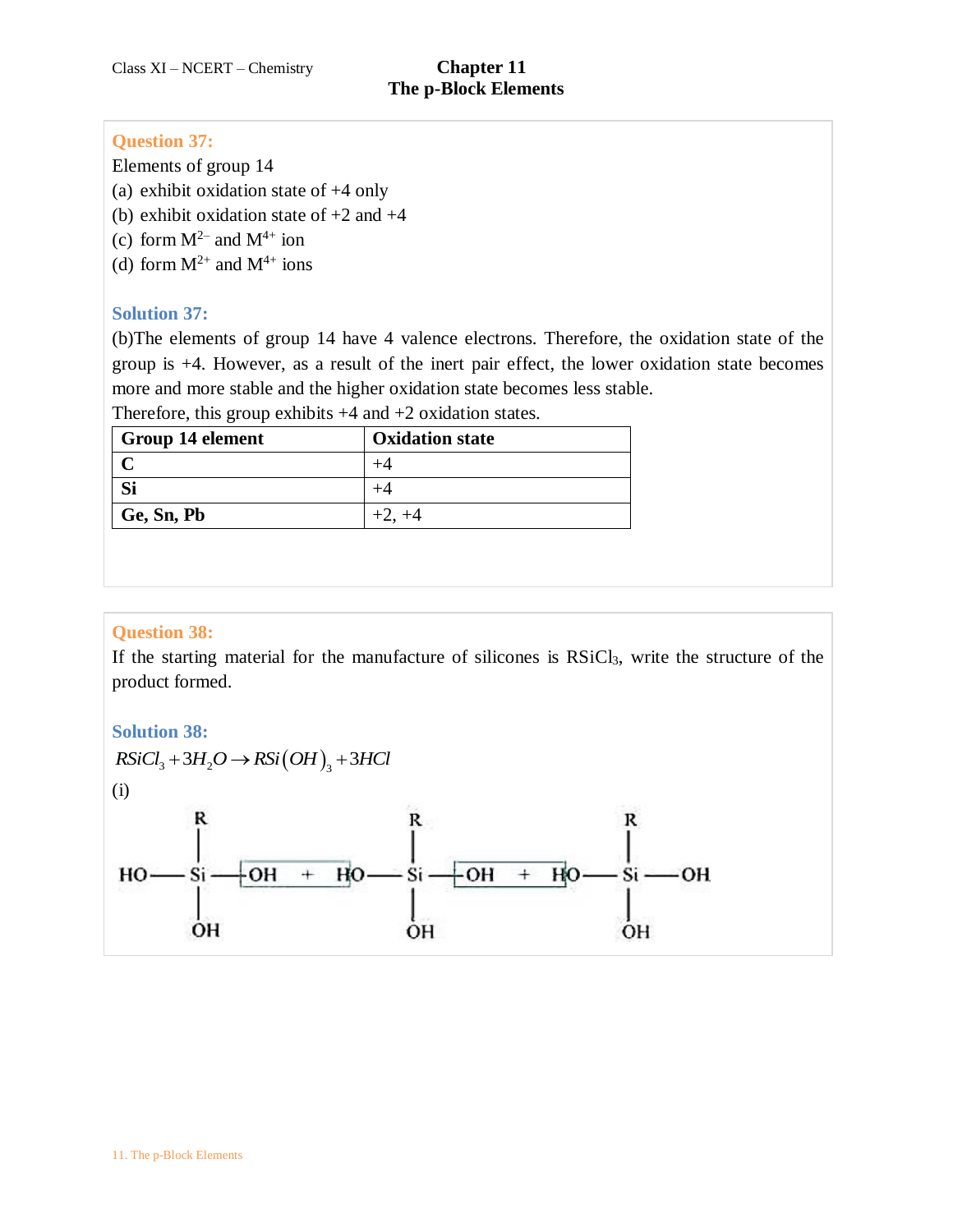## **Question 37:**

Elements of group 14

(a) exhibit oxidation state of +4 only

- (b) exhibit oxidation state of  $+2$  and  $+4$
- (c) form  $M^{2-}$  and  $M^{4+}$  ion
- (d) form  $M^{2+}$  and  $M^{4+}$  ions

# **Solution 37:**

(b)The elements of group 14 have 4 valence electrons. Therefore, the oxidation state of the group is +4. However, as a result of the inert pair effect, the lower oxidation state becomes more and more stable and the higher oxidation state becomes less stable.

Therefore, this group exhibits  $+4$  and  $+2$  oxidation states.

| Group 14 element | <b>Oxidation state</b> |
|------------------|------------------------|
|                  |                        |
|                  |                        |
| Ge, Sn, Pb       | $+2, +4$               |

# **Question 38:**

If the starting material for the manufacture of silicones is RSiCl3, write the structure of the product formed.

# **Solution 38:**

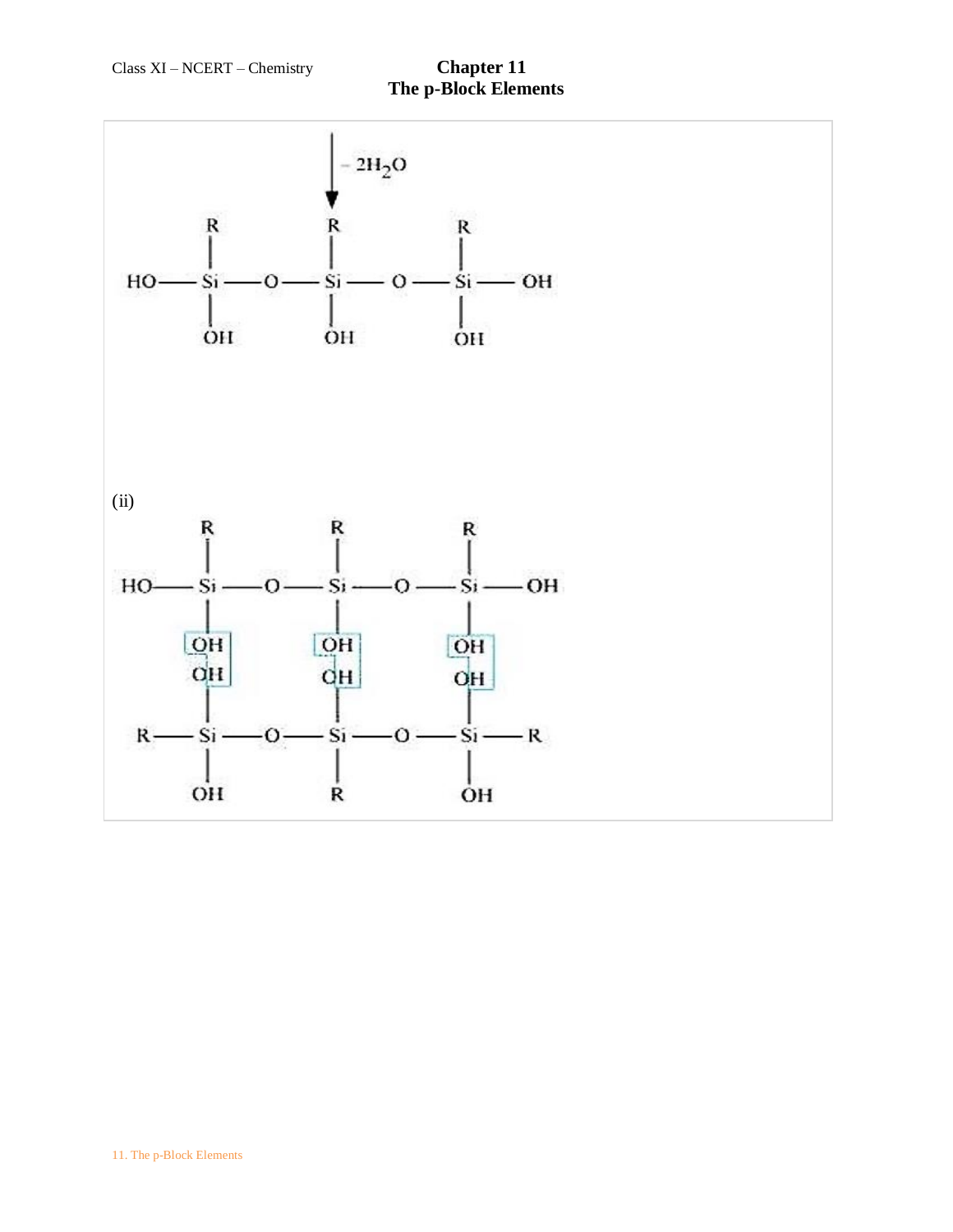